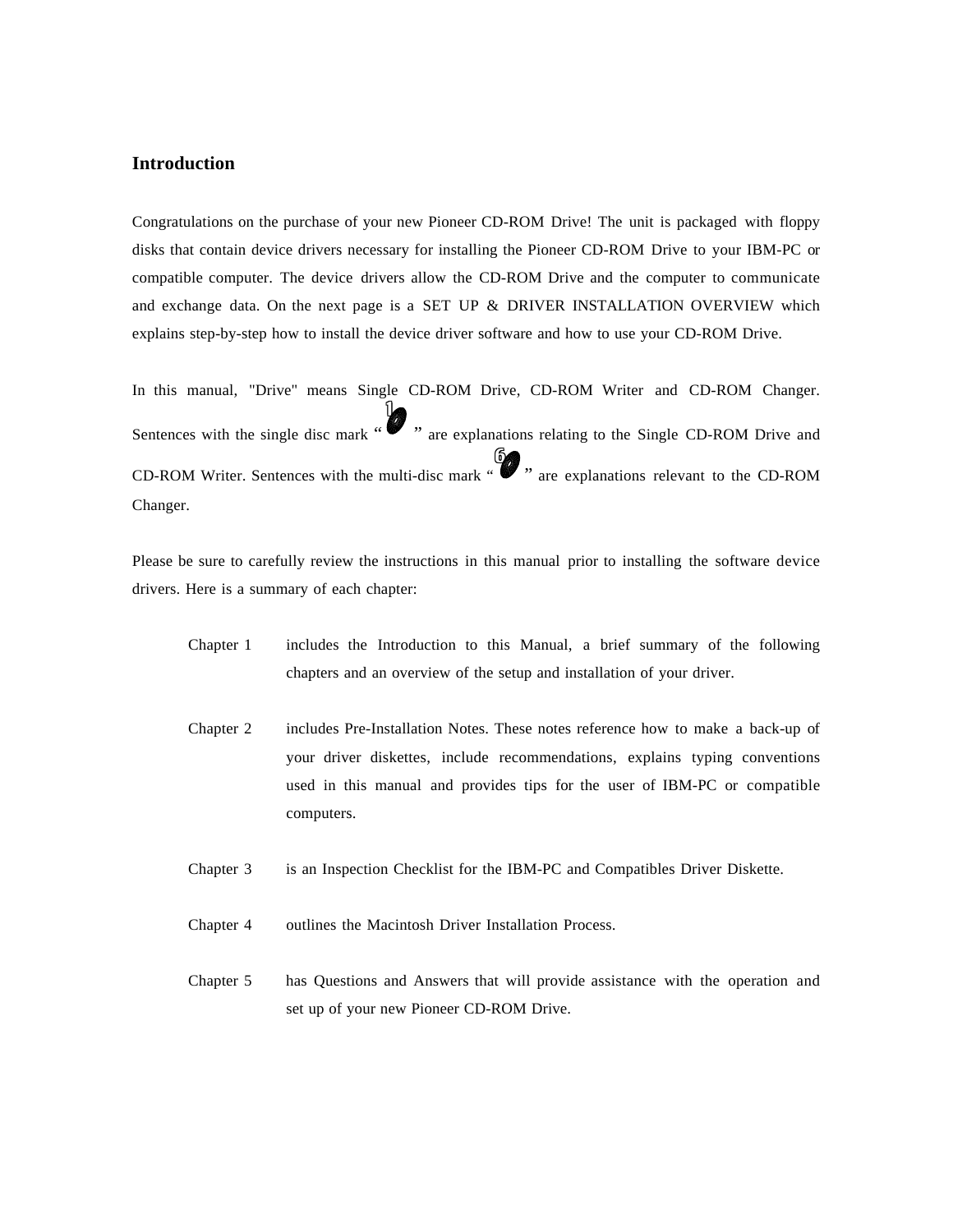## **Introduction**

Congratulations on the purchase of your new Pioneer CD-ROM Drive! The unit is packaged with floppy disks that contain device drivers necessary for installing the Pioneer CD-ROM Drive to your IBM-PC or compatible computer. The device drivers allow the CD-ROM Drive and the computer to communicate and exchange data. On the next page is a SET UP & DRIVER INSTALLATION OVERVIEW which explains step-by-step how to install the device driver software and how to use your CD-ROM Drive.

In this manual, "Drive" means Single CD-ROM Drive, CD-ROM Writer and CD-ROM Changer. Sentences with the single disc mark "" " are explanations relating to the Single CD-ROM Drive and 1 CD-ROM Writer. Sentences with the multi-disc mark " 6 " are explanations relevant to the CD-ROM Changer.

Please be sure to carefully review the instructions in this manual prior to installing the software device drivers. Here is a summary of each chapter:

- Chapter 1 includes the Introduction to this Manual, a brief summary of the following chapters and an overview of the setup and installation of your driver.
- Chapter 2 includes Pre-Installation Notes. These notes reference how to make a back-up of your driver diskettes, include recommendations, explains typing conventions used in this manual and provides tips for the user of IBM-PC or compatible computers.
- Chapter 3 is an Inspection Checklist for the IBM-PC and Compatibles Driver Diskette.
- Chapter 4 outlines the Macintosh Driver Installation Process.
- Chapter 5 has Questions and Answers that will provide assistance with the operation and set up of your new Pioneer CD-ROM Drive.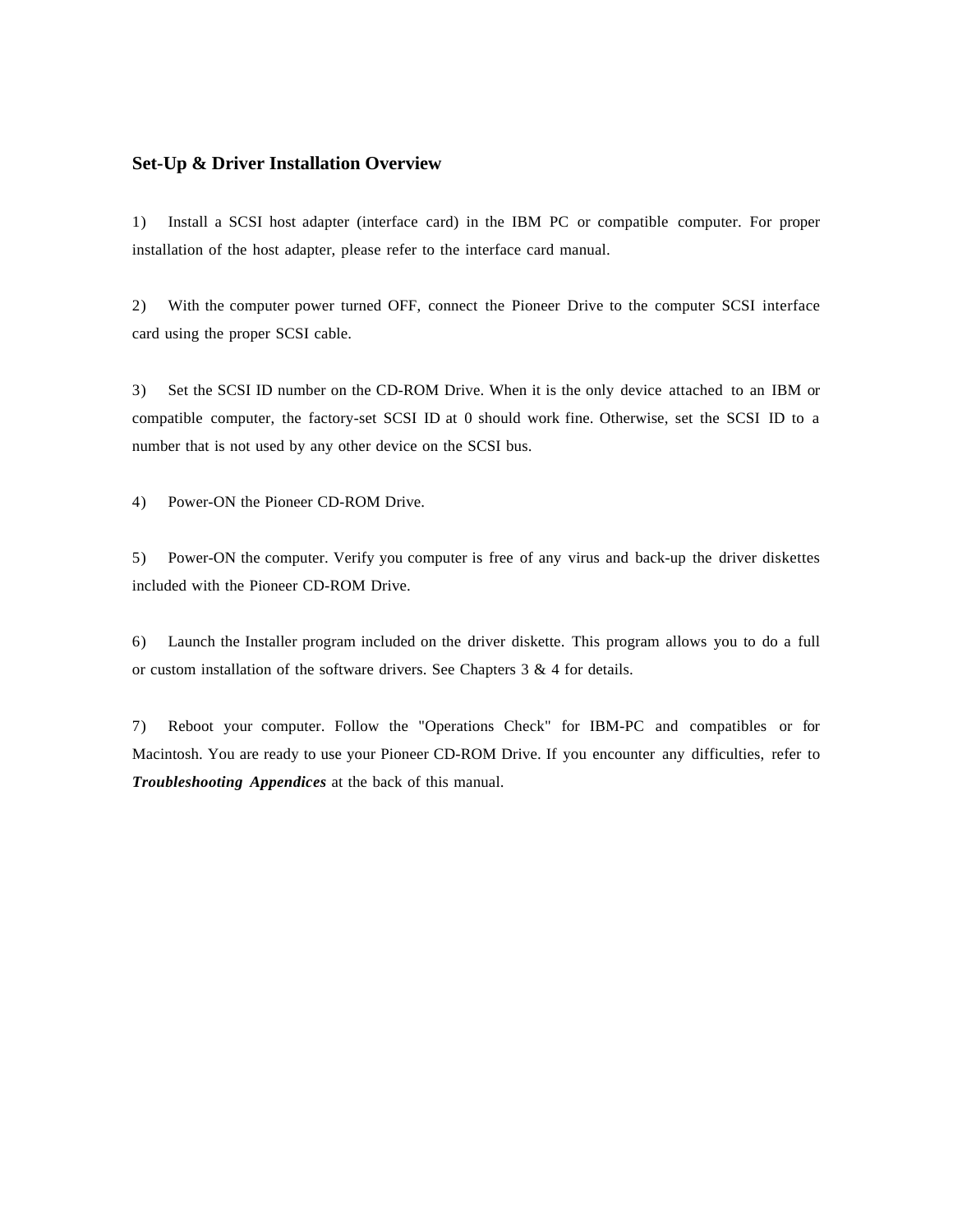## **Set-Up & Driver Installation Overview**

1) Install a SCSI host adapter (interface card) in the IBM PC or compatible computer. For proper installation of the host adapter, please refer to the interface card manual.

2) With the computer power turned OFF, connect the Pioneer Drive to the computer SCSI interface card using the proper SCSI cable.

3) Set the SCSI ID number on the CD-ROM Drive. When it is the only device attached to an IBM or compatible computer, the factory-set SCSI ID at 0 should work fine. Otherwise, set the SCSI ID to a number that is not used by any other device on the SCSI bus.

4) Power-ON the Pioneer CD-ROM Drive.

5) Power-ON the computer. Verify you computer is free of any virus and back-up the driver diskettes included with the Pioneer CD-ROM Drive.

6) Launch the Installer program included on the driver diskette. This program allows you to do a full or custom installation of the software drivers. See Chapters 3 & 4 for details.

7) Reboot your computer. Follow the "Operations Check" for IBM-PC and compatibles or for Macintosh. You are ready to use your Pioneer CD-ROM Drive. If you encounter any difficulties, refer to *Troubleshooting Appendices* at the back of this manual.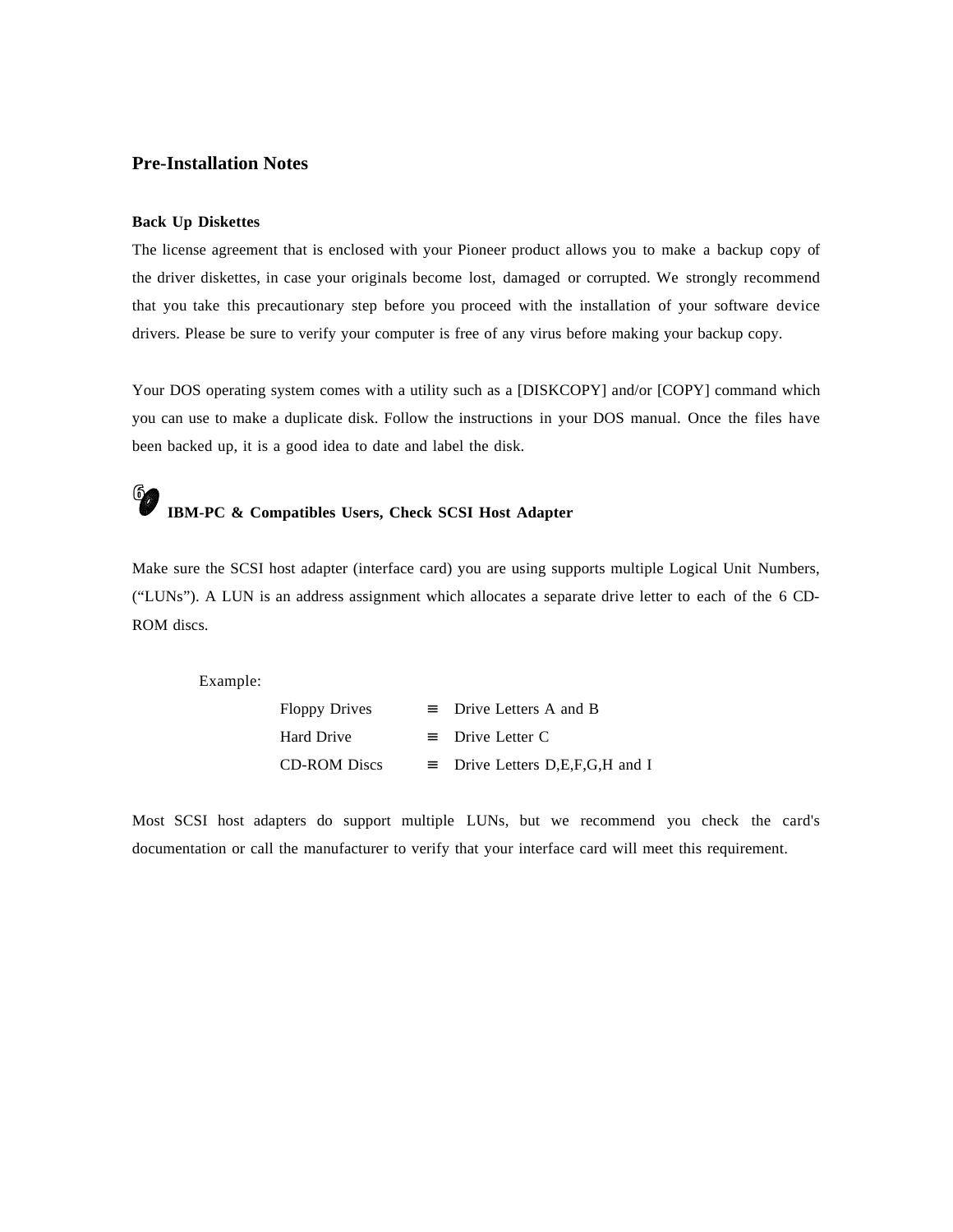## **Pre-Installation Notes**

## **Back Up Diskettes**

The license agreement that is enclosed with your Pioneer product allows you to make a backup copy of the driver diskettes, in case your originals become lost, damaged or corrupted. We strongly recommend that you take this precautionary step before you proceed with the installation of your software device drivers. Please be sure to verify your computer is free of any virus before making your backup copy.

Your DOS operating system comes with a utility such as a [DISKCOPY] and/or [COPY] command which you can use to make a duplicate disk. Follow the instructions in your DOS manual. Once the files have been backed up, it is a good idea to date and label the disk.

# 6 **IBM-PC & Compatibles Users, Check SCSI Host Adapter**

Make sure the SCSI host adapter (interface card) you are using supports multiple Logical Unit Numbers, ("LUNs"). A LUN is an address assignment which allocates a separate drive letter to each of the 6 CD-ROM discs.

Example:

| <b>Floppy Drives</b> | $\equiv$ Drive Letters A and B         |
|----------------------|----------------------------------------|
| Hard Drive           | $\equiv$ Drive Letter C                |
| <b>CD-ROM</b> Discs  | $\equiv$ Drive Letters D,E,F,G,H and I |

Most SCSI host adapters do support multiple LUNs, but we recommend you check the card's documentation or call the manufacturer to verify that your interface card will meet this requirement.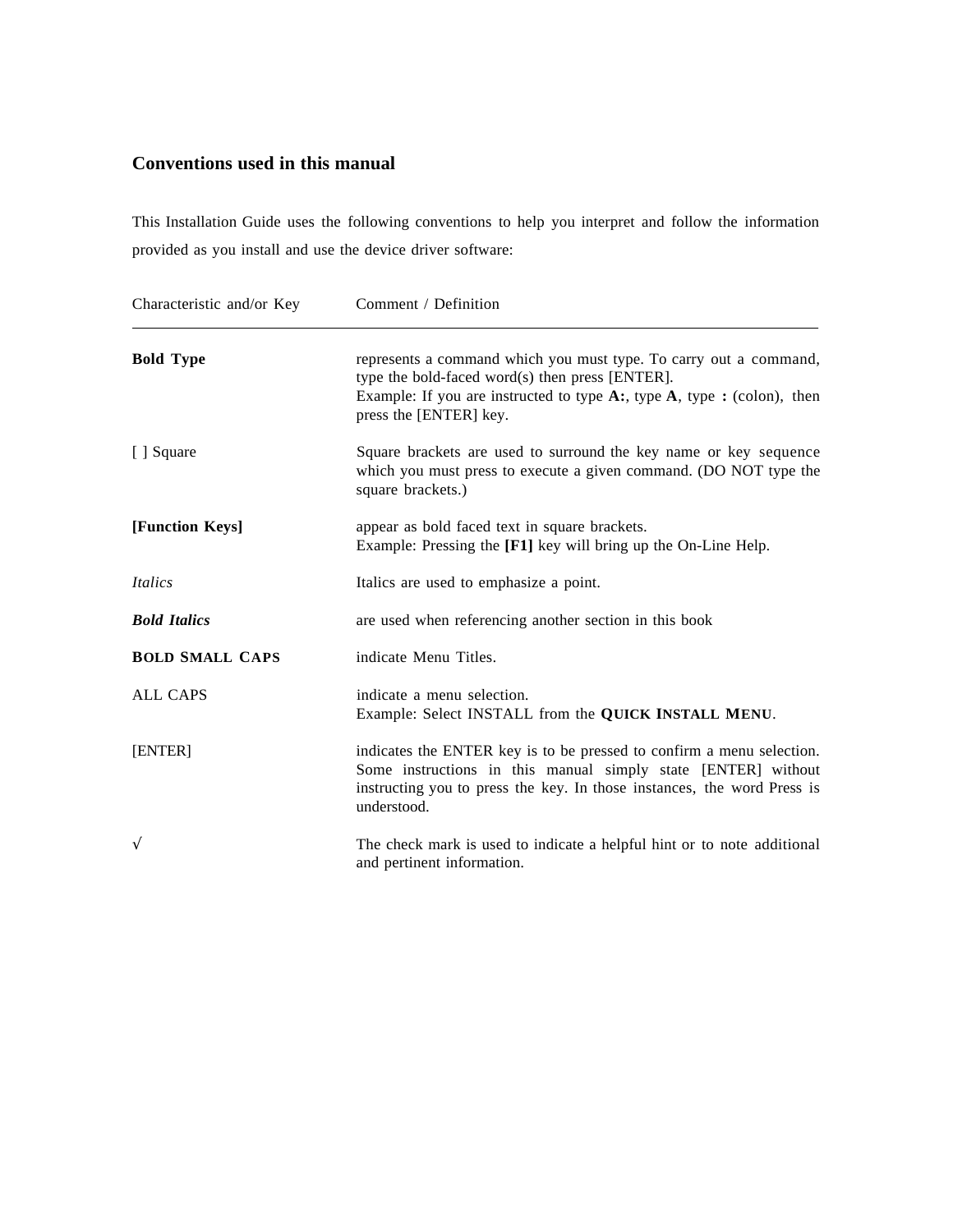# **Conventions used in this manual**

This Installation Guide uses the following conventions to help you interpret and follow the information provided as you install and use the device driver software:

| Characteristic and/or Key | Comment / Definition                                                                                                                                                                                                             |
|---------------------------|----------------------------------------------------------------------------------------------------------------------------------------------------------------------------------------------------------------------------------|
| <b>Bold Type</b>          | represents a command which you must type. To carry out a command,<br>type the bold-faced word(s) then press [ENTER].<br>Example: If you are instructed to type $A$ :, type $A$ , type : (colon), then<br>press the [ENTER] key.  |
| [ ] Square                | Square brackets are used to surround the key name or key sequence<br>which you must press to execute a given command. (DO NOT type the<br>square brackets.)                                                                      |
| [Function Keys]           | appear as bold faced text in square brackets.<br>Example: Pressing the [F1] key will bring up the On-Line Help.                                                                                                                  |
| Italics                   | Italics are used to emphasize a point.                                                                                                                                                                                           |
| <b>Bold Italics</b>       | are used when referencing another section in this book                                                                                                                                                                           |
| <b>BOLD SMALL CAPS</b>    | indicate Menu Titles.                                                                                                                                                                                                            |
| <b>ALL CAPS</b>           | indicate a menu selection.<br>Example: Select INSTALL from the QUICK INSTALL MENU.                                                                                                                                               |
| [ENTER]                   | indicates the ENTER key is to be pressed to confirm a menu selection.<br>Some instructions in this manual simply state [ENTER] without<br>instructing you to press the key. In those instances, the word Press is<br>understood. |
| $\sqrt{}$                 | The check mark is used to indicate a helpful hint or to note additional<br>and pertinent information.                                                                                                                            |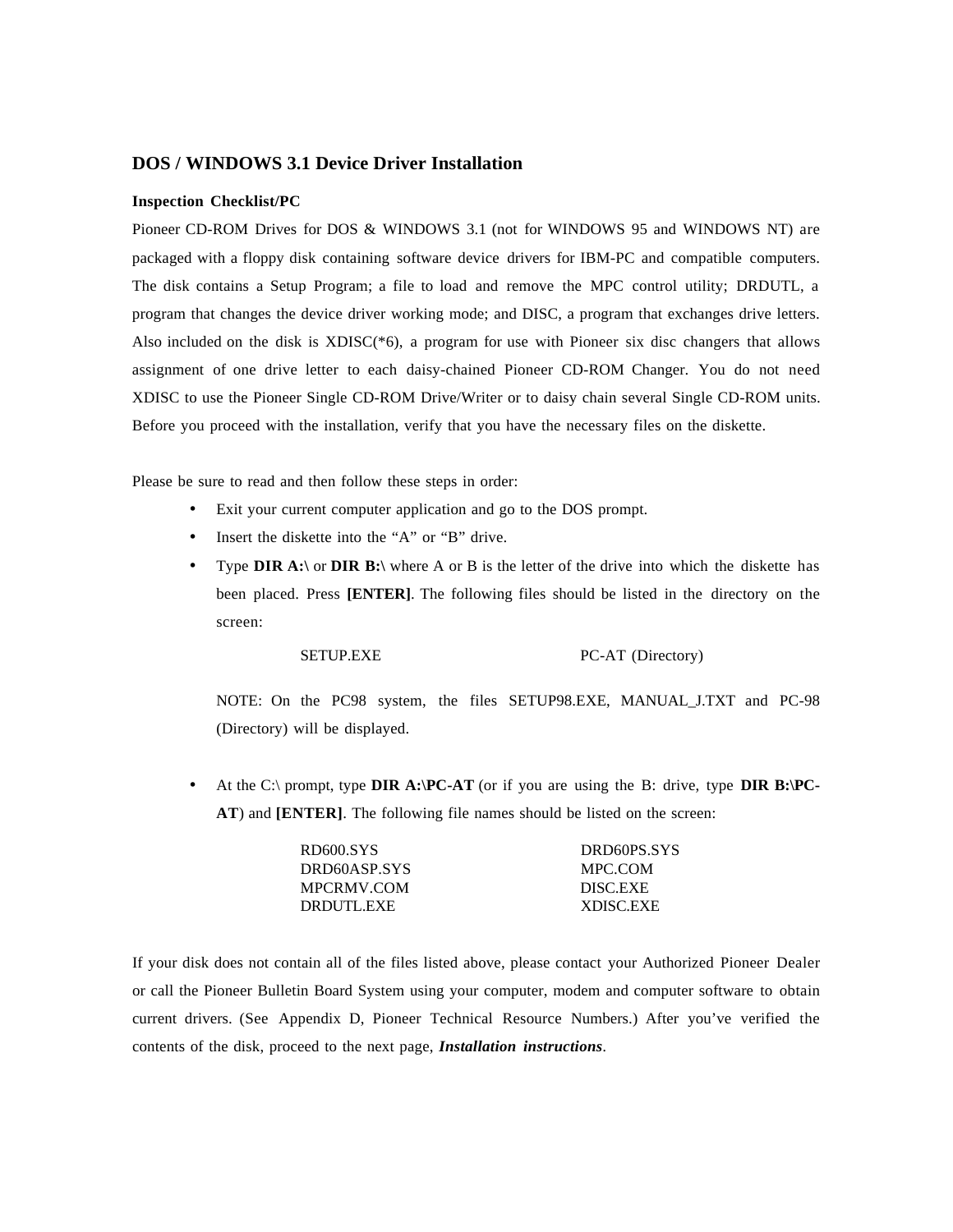## **DOS / WINDOWS 3.1 Device Driver Installation**

#### **Inspection Checklist/PC**

Pioneer CD-ROM Drives for DOS & WINDOWS 3.1 (not for WINDOWS 95 and WINDOWS NT) are packaged with a floppy disk containing software device drivers for IBM-PC and compatible computers. The disk contains a Setup Program; a file to load and remove the MPC control utility; DRDUTL, a program that changes the device driver working mode; and DISC, a program that exchanges drive letters. Also included on the disk is  $XDISC(*6)$ , a program for use with Pioneer six disc changers that allows assignment of one drive letter to each daisy-chained Pioneer CD-ROM Changer. You do not need XDISC to use the Pioneer Single CD-ROM Drive/Writer or to daisy chain several Single CD-ROM units. Before you proceed with the installation, verify that you have the necessary files on the diskette.

Please be sure to read and then follow these steps in order:

- Exit your current computer application and go to the DOS prompt.
- Insert the diskette into the "A" or "B" drive.
- Type **DIR A:\** or **DIR B:\** where A or B is the letter of the drive into which the diskette has been placed. Press **[ENTER]**. The following files should be listed in the directory on the screen:

SETUP.EXE PC-AT (Directory)

NOTE: On the PC98 system, the files SETUP98.EXE, MANUAL\_J.TXT and PC-98 (Directory) will be displayed.

• At the C:\ prompt, type **DIR A:\PC-AT** (or if you are using the B: drive, type **DIR B:\PC-AT**) and **[ENTER]**. The following file names should be listed on the screen:

| DRD60PS.SYS      |
|------------------|
| MPC.COM          |
| DISC.EXE         |
| <b>XDISC.EXE</b> |
|                  |

If your disk does not contain all of the files listed above, please contact your Authorized Pioneer Dealer or call the Pioneer Bulletin Board System using your computer, modem and computer software to obtain current drivers. (See Appendix D, Pioneer Technical Resource Numbers.) After you've verified the contents of the disk, proceed to the next page, *Installation instructions.*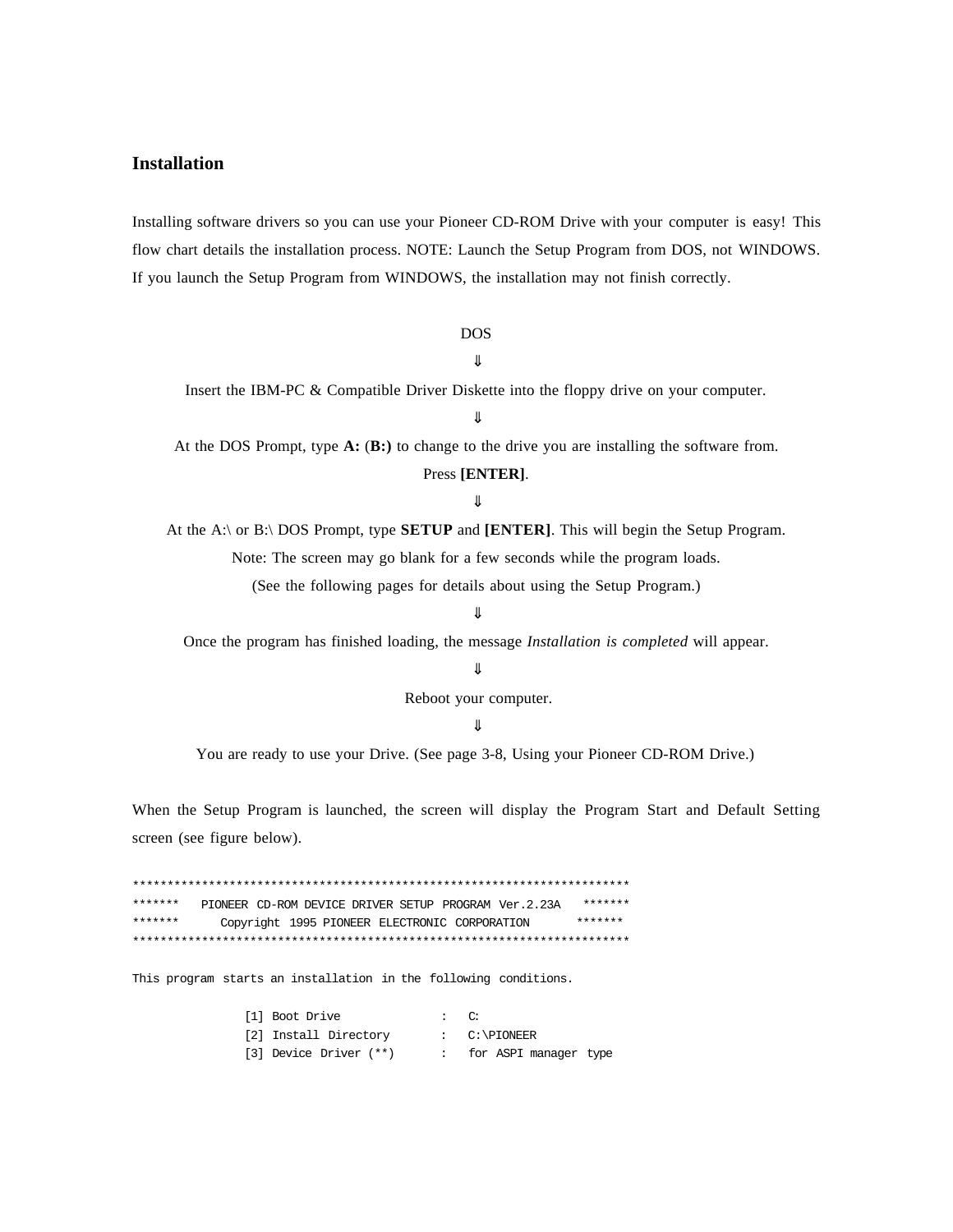## **Installation**

Installing software drivers so you can use your Pioneer CD-ROM Drive with your computer is easy! This flow chart details the installation process. NOTE: Launch the Setup Program from DOS, not WINDOWS. If you launch the Setup Program from WINDOWS, the installation may not finish correctly.

## **DOS**

 $\bigcup \limits$ 

Insert the IBM-PC & Compatible Driver Diskette into the floppy drive on your computer.

╨

At the DOS Prompt, type  $\mathbf{A}$ :  $(\mathbf{B})$ : to change to the drive you are installing the software from.

#### Press [ENTER].

#### ⇓

At the A:\ or B:\ DOS Prompt, type **SETUP** and [ENTER]. This will begin the Setup Program. Note: The screen may go blank for a few seconds while the program loads.

(See the following pages for details about using the Setup Program.)

## ╨

Once the program has finished loading, the message Installation is completed will appear.

#### ⇓

Reboot your computer.

## ⇓

You are ready to use your Drive. (See page 3-8, Using your Pioneer CD-ROM Drive.)

When the Setup Program is launched, the screen will display the Program Start and Default Setting screen (see figure below).

\*\*\*\*\*\*\* \*\*\*\*\*\*\* PIONEER CD-ROM DEVICE DRIVER SETUP PROGRAM Ver.2.23A \*\*\*\*\*\*\* \*\*\*\*\*\*\* Copyright 1995 PIONEER ELECTRONIC CORPORATION 

This program starts an installation in the following conditions.

| [1] Boot Drive         | $\mathbf{C}$ : |                         |
|------------------------|----------------|-------------------------|
| [2] Install Directory  |                | $C:\$ PIONEER           |
| [3] Device Driver (**) |                | : for ASPI manager type |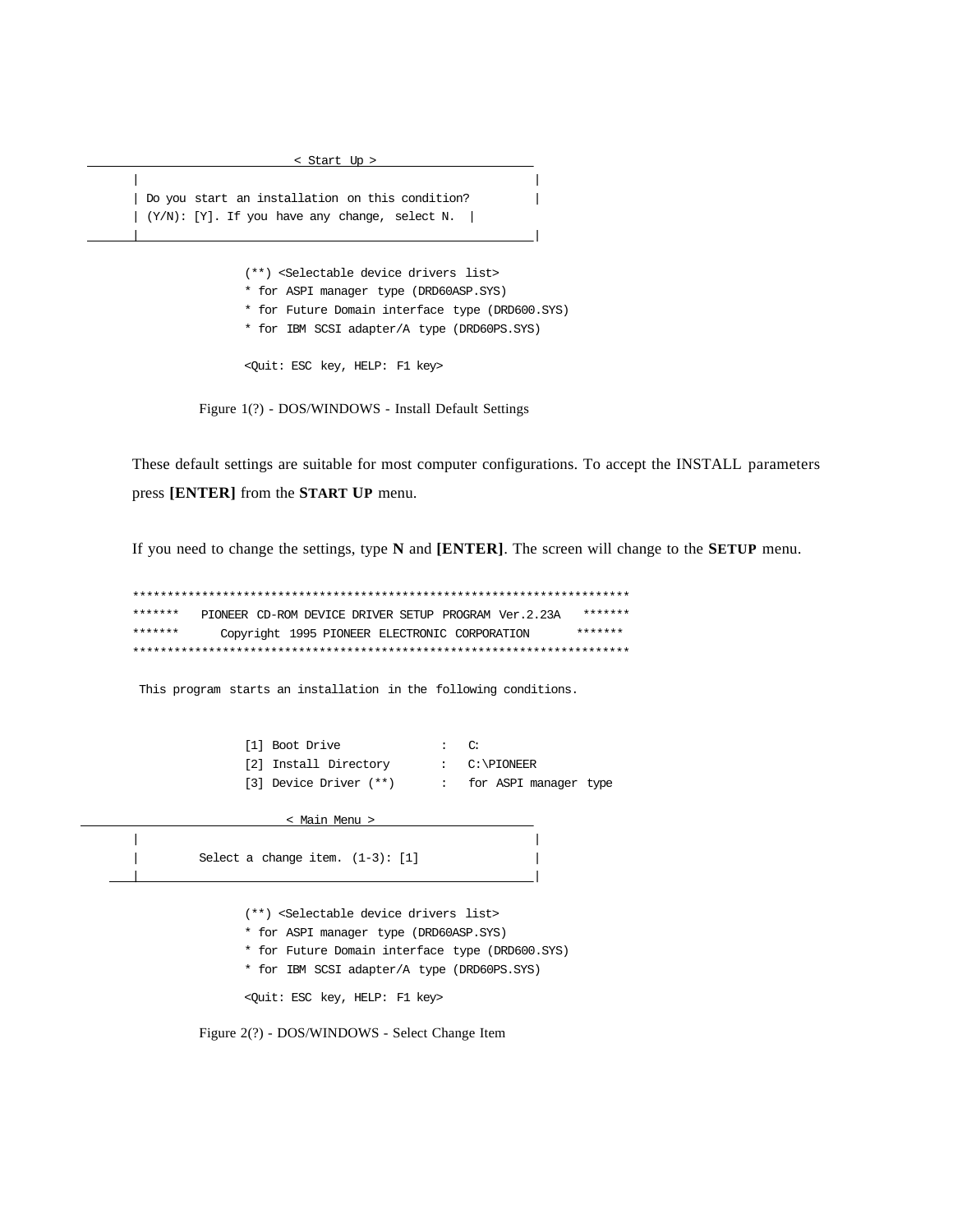| Do you start an installation on this condition?  $| (Y/N): [Y].$  If you have any change, select N. |

 $\overline{\phantom{a}}$ 

 $\overline{\phantom{a}}$ 

< Start Up >

(\*\*) <Selectable device drivers list>

\* for ASPI manager type (DRD60ASP.SYS)

\* for Future Domain interface type (DRD600.SYS)

\* for IBM SCSI adapter/A type (DRD60PS.SYS)

<Quit: ESC key, HELP: F1 key>

Figure 1(?) - DOS/WINDOWS - Install Default Settings

These default settings are suitable for most computer configurations. To accept the INSTALL parameters press [ENTER] from the START UP menu.

If you need to change the settings, type N and [ENTER]. The screen will change to the SETUP menu.

\*\*\*\*\*\*\*\*\*\*\* \*\*\*\*\*\*\* \*\*\*\*\*\*\* PIONEER CD-ROM DEVICE DRIVER SETUP PROGRAM Ver.2.23A Copyright 1995 PIONEER ELECTRONIC CORPORATION  $******$ \*\*\*\*\*\*\* 

This program starts an installation in the following conditions.

| [1] Boot Drive         | $\therefore$ $\circ$ |                         |
|------------------------|----------------------|-------------------------|
| [2] Install Directory  |                      | $C:\$ PIONEER           |
| [3] Device Driver (**) |                      | : for ASPI manager type |

< Main Menu >

Select a change item.  $(1-3)$ : [1]

(\*\*) <Selectable device drivers list>

- \* for ASPI manager type (DRD60ASP.SYS)
- \* for Future Domain interface type (DRD600.SYS)
- \* for IBM SCSI adapter/A type (DRD60PS.SYS)

<Quit: ESC key, HELP: F1 key>

Figure 2(?) - DOS/WINDOWS - Select Change Item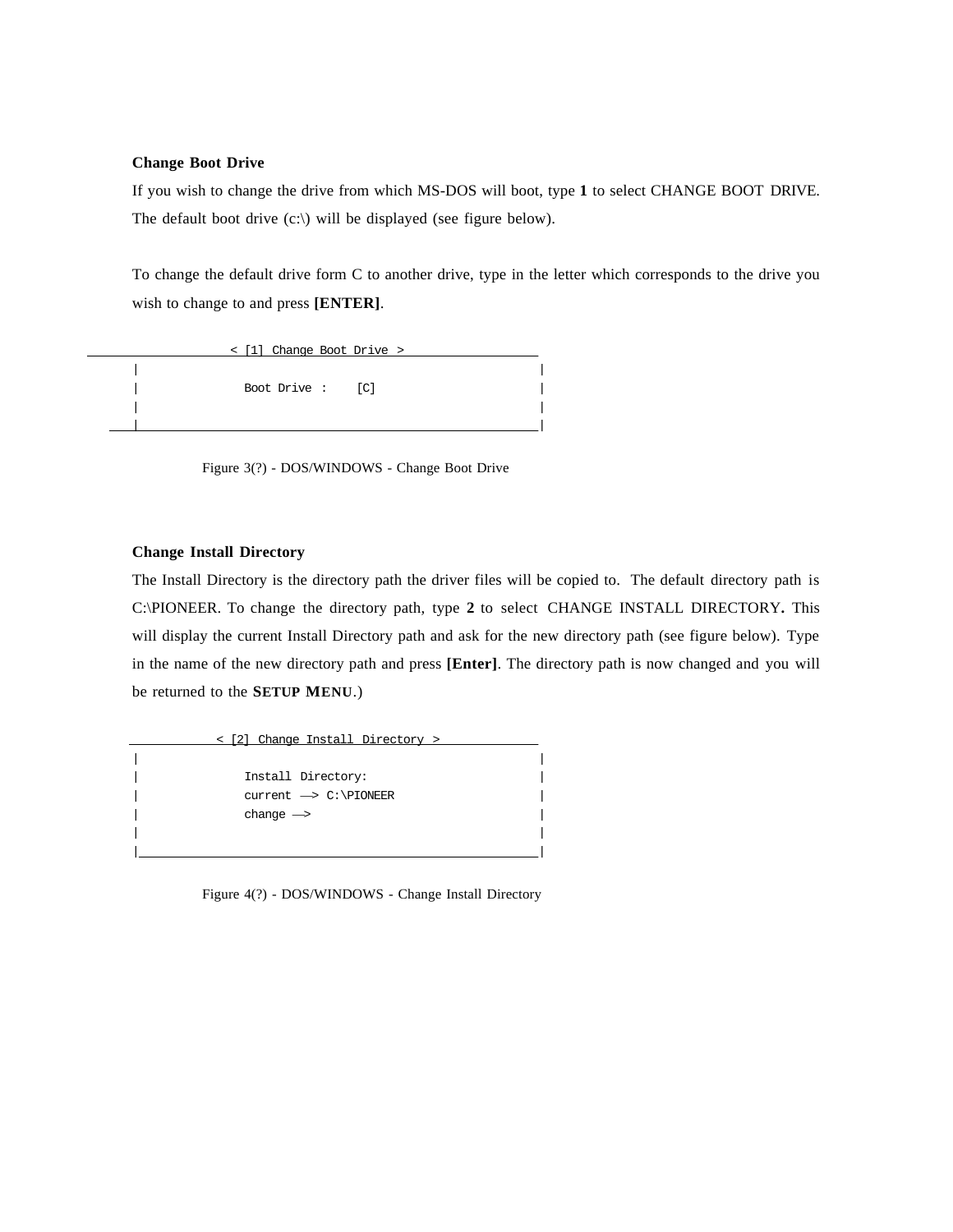#### **Change Boot Drive**

If you wish to change the drive from which MS-DOS will boot, type **1** to select CHANGE BOOT DRIVE. The default boot drive  $(c:\)$  will be displayed (see figure below).

To change the default drive form C to another drive, type in the letter which corresponds to the drive you wish to change to and press **[ENTER]**.

| < [1] Change Boot Drive > |  |
|---------------------------|--|
|                           |  |
| Boot Drive : [C]          |  |
|                           |  |
|                           |  |

Figure 3(?) - DOS/WINDOWS - Change Boot Drive

### **Change Install Directory**

The Install Directory is the directory path the driver files will be copied to. The default directory path is C:\PIONEER. To change the directory path, type **2** to select CHANGE INSTALL DIRECTORY**.** This will display the current Install Directory path and ask for the new directory path (see figure below). Type in the name of the new directory path and press **[Enter]**. The directory path is now changed and you will be returned to the **SETUP MENU**.)

 < [2] Change Install Directory > | | | Install Directory: |  $current \rightarrow C:\PiONEER$  $change \rightarrow$ | | | |

Figure 4(?) - DOS/WINDOWS - Change Install Directory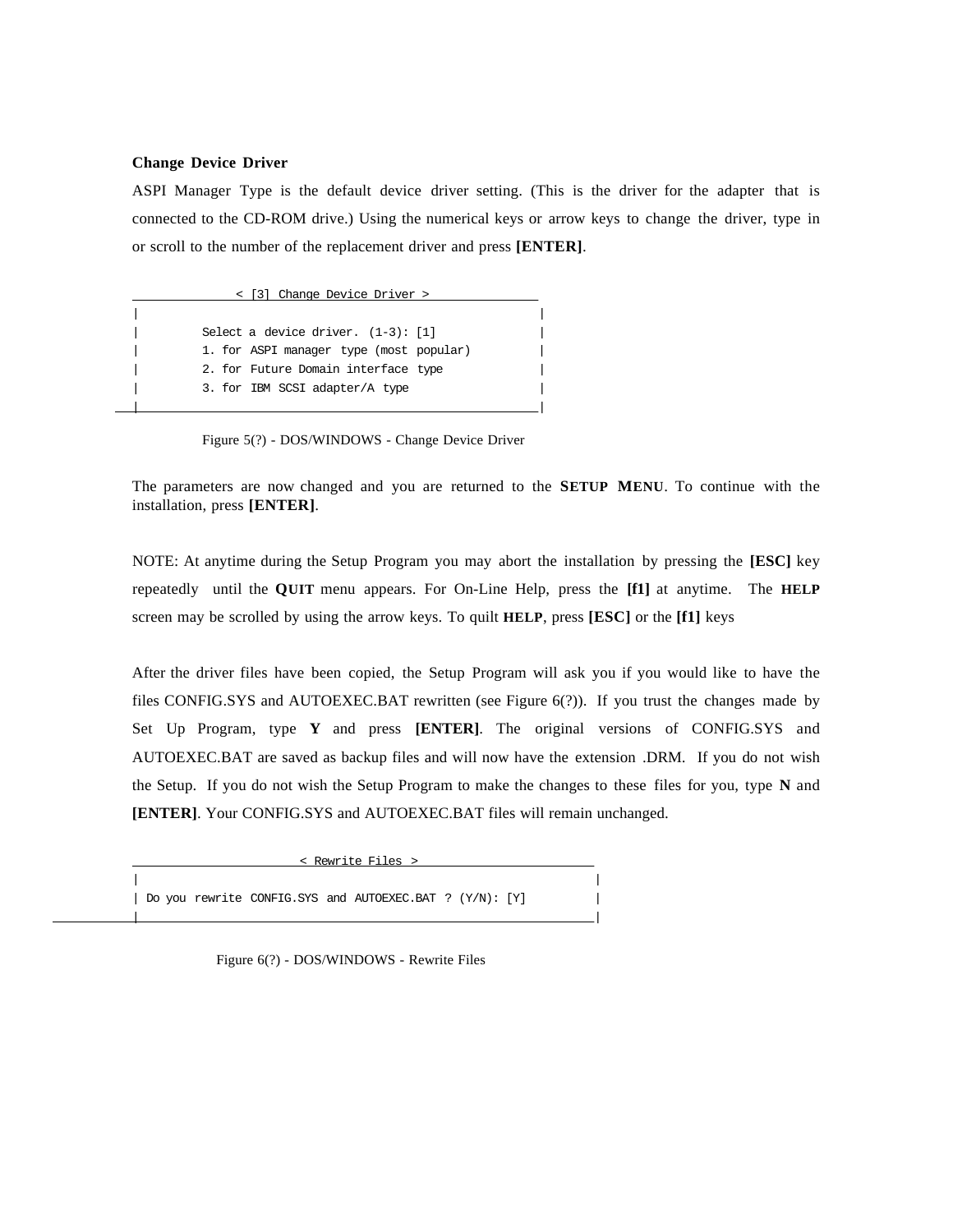#### **Change Device Driver**

ASPI Manager Type is the default device driver setting. (This is the driver for the adapter that is connected to the CD-ROM drive.) Using the numerical keys or arrow keys to change the driver, type in or scroll to the number of the replacement driver and press **[ENTER]**.

 < [3] Change Device Driver > | | Select a device driver.  $(1-3)$ :  $[1]$ 1. for ASPI manager type (most popular) 2. for Future Domain interface type 3. for IBM SCSI adapter/A type | |

Figure 5(?) - DOS/WINDOWS - Change Device Driver

The parameters are now changed and you are returned to the **SETUP MENU**. To continue with the installation, press **[ENTER]**.

NOTE: At anytime during the Setup Program you may abort the installation by pressing the **[ESC]** key repeatedly until the **QUIT** menu appears. For On-Line Help, press the **[f1]** at anytime. The **HELP** screen may be scrolled by using the arrow keys. To quilt **HELP**, press **[ESC]** or the **[f1]** keys

After the driver files have been copied, the Setup Program will ask you if you would like to have the files CONFIG.SYS and AUTOEXEC.BAT rewritten (see Figure 6(?)). If you trust the changes made by Set Up Program, type **Y** and press **[ENTER]**. The original versions of CONFIG.SYS and AUTOEXEC.BAT are saved as backup files and will now have the extension .DRM. If you do not wish the Setup. If you do not wish the Setup Program to make the changes to these files for you, type **N** and **[ENTER]**. Your CONFIG.SYS and AUTOEXEC.BAT files will remain unchanged.



Figure 6(?) - DOS/WINDOWS - Rewrite Files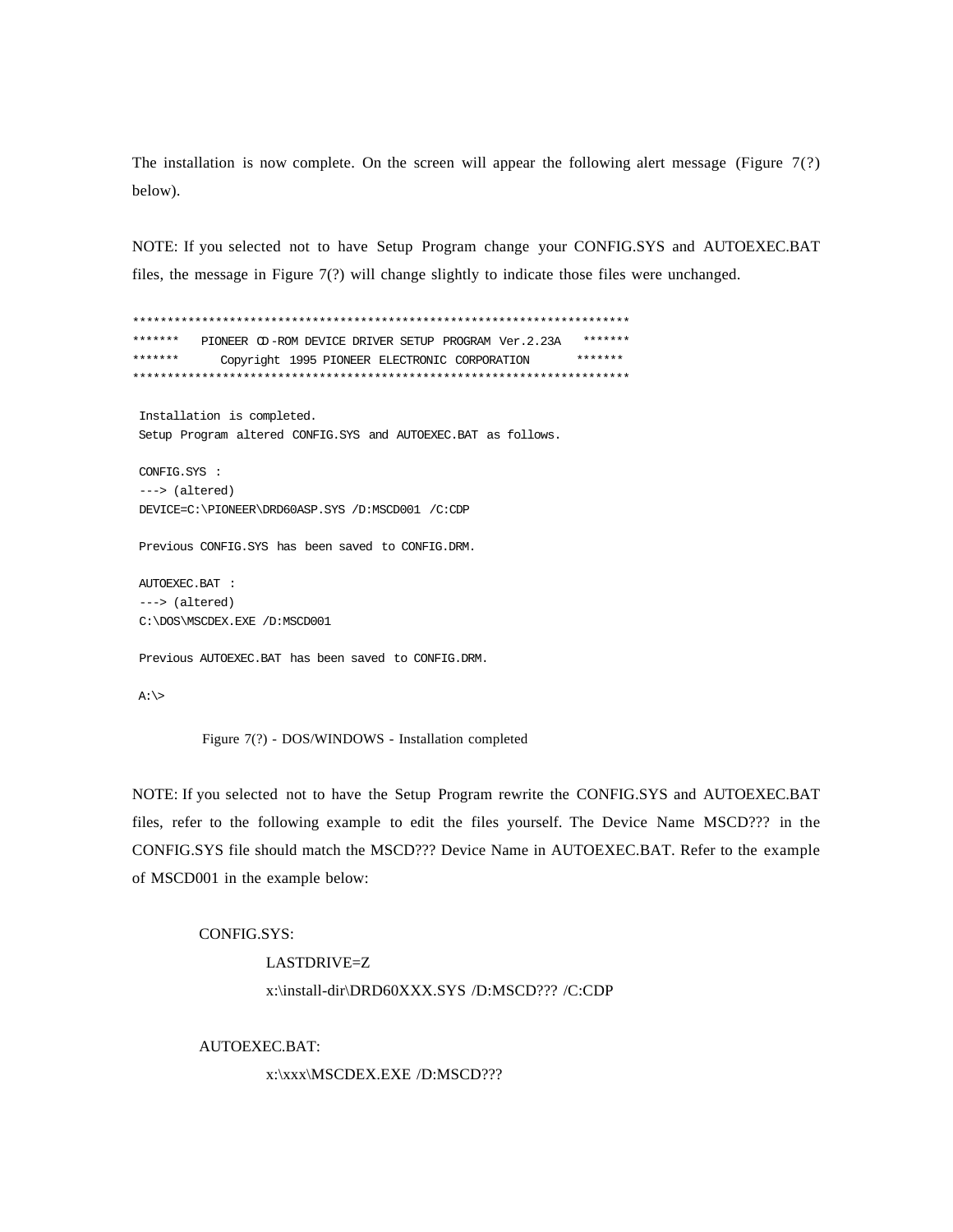The installation is now complete. On the screen will appear the following alert message (Figure  $7(?)$ ) below).

NOTE: If you selected not to have Setup Program change your CONFIG.SYS and AUTOEXEC.BAT files, the message in Figure  $7(?)$  will change slightly to indicate those files were unchanged.

\*\*\*\*\*\*\* PIONEER OD-ROM DEVICE DRIVER SETUP PROGRAM Ver.2.23A \*\*\*\*\*\*\*  $******$ \*\*\*\*\*\*\* Copyright 1995 PIONEER ELECTRONIC CORPORATION Installation is completed. Setup Program altered CONFIG.SYS and AUTOEXEC.BAT as follows. CONFIG.SYS :  $--->$  (altered) DEVICE=C:\PIONEER\DRD60ASP.SYS /D:MSCD001 /C:CDP Previous CONFIG.SYS has been saved to CONFIG.DRM. AUTOEXEC.BAT :  $--->$  (altered) C:\DOS\MSCDEX.EXE /D:MSCD001 Previous AUTOEXEC.BAT has been saved to CONFIG.DRM.

 $A:\searrow$ 

Figure 7(?) - DOS/WINDOWS - Installation completed

NOTE: If you selected not to have the Setup Program rewrite the CONFIG.SYS and AUTOEXEC.BAT files, refer to the following example to edit the files yourself. The Device Name MSCD??? in the CONFIG.SYS file should match the MSCD??? Device Name in AUTOEXEC.BAT. Refer to the example of MSCD001 in the example below:

## **CONFIG.SYS:**

# LASTDRIVE=Z x:\install-dir\DRD60XXX.SYS /D:MSCD??? /C:CDP

AUTOEXEC.BAT:

x:\xxx\MSCDEX.EXE /D:MSCD???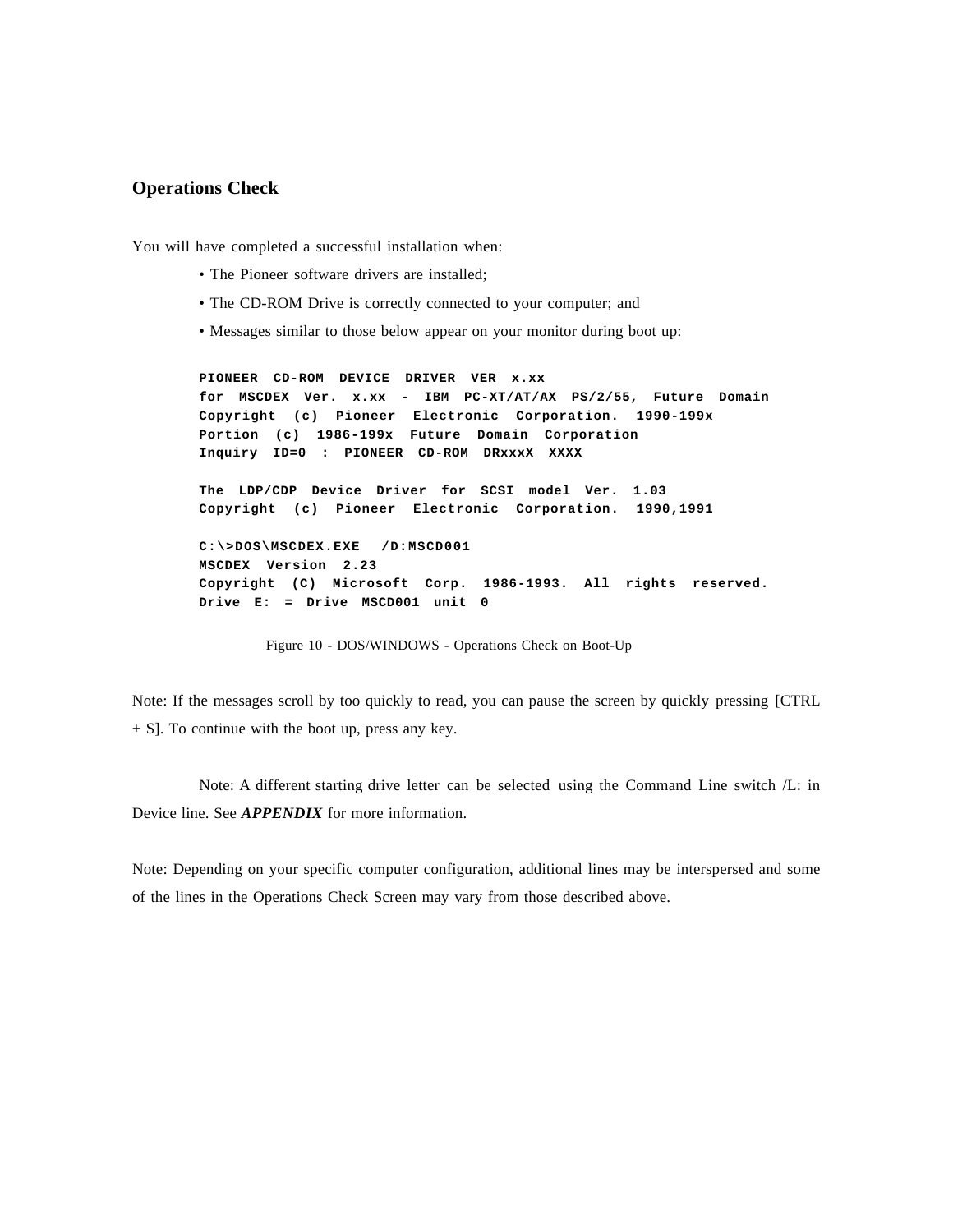## **Operations Check**

You will have completed a successful installation when:

- The Pioneer software drivers are installed;
- The CD-ROM Drive is correctly connected to your computer; and
- Messages similar to those below appear on your monitor during boot up:

**PIONEER CD-ROM DEVICE DRIVER VER x.xx for MSCDEX Ver. x.xx - IBM PC-XT/AT/AX PS/2/55, Future Domain Copyright (c) Pioneer Electronic Corporation. 1990-199x Portion (c) 1986-199x Future Domain Corporation Inquiry ID=0 : PIONEER CD-ROM DRxxxX XXXX The LDP/CDP Device Driver for SCSI model Ver. 1.03 Copyright (c) Pioneer Electronic Corporation. 1990,1991 C:\>DOS\MSCDEX.EXE /D:MSCD001 MSCDEX Version 2.23 Copyright (C) Microsoft Corp. 1986-1993. All rights reserved. Drive E: = Drive MSCD001 unit 0**

Figure 10 - DOS/WINDOWS - Operations Check on Boot-Up

Note: If the messages scroll by too quickly to read, you can pause the screen by quickly pressing [CTRL + S]. To continue with the boot up, press any key.

Note: A different starting drive letter can be selected using the Command Line switch /L: in Device line. See *APPENDIX* for more information.

Note: Depending on your specific computer configuration, additional lines may be interspersed and some of the lines in the Operations Check Screen may vary from those described above.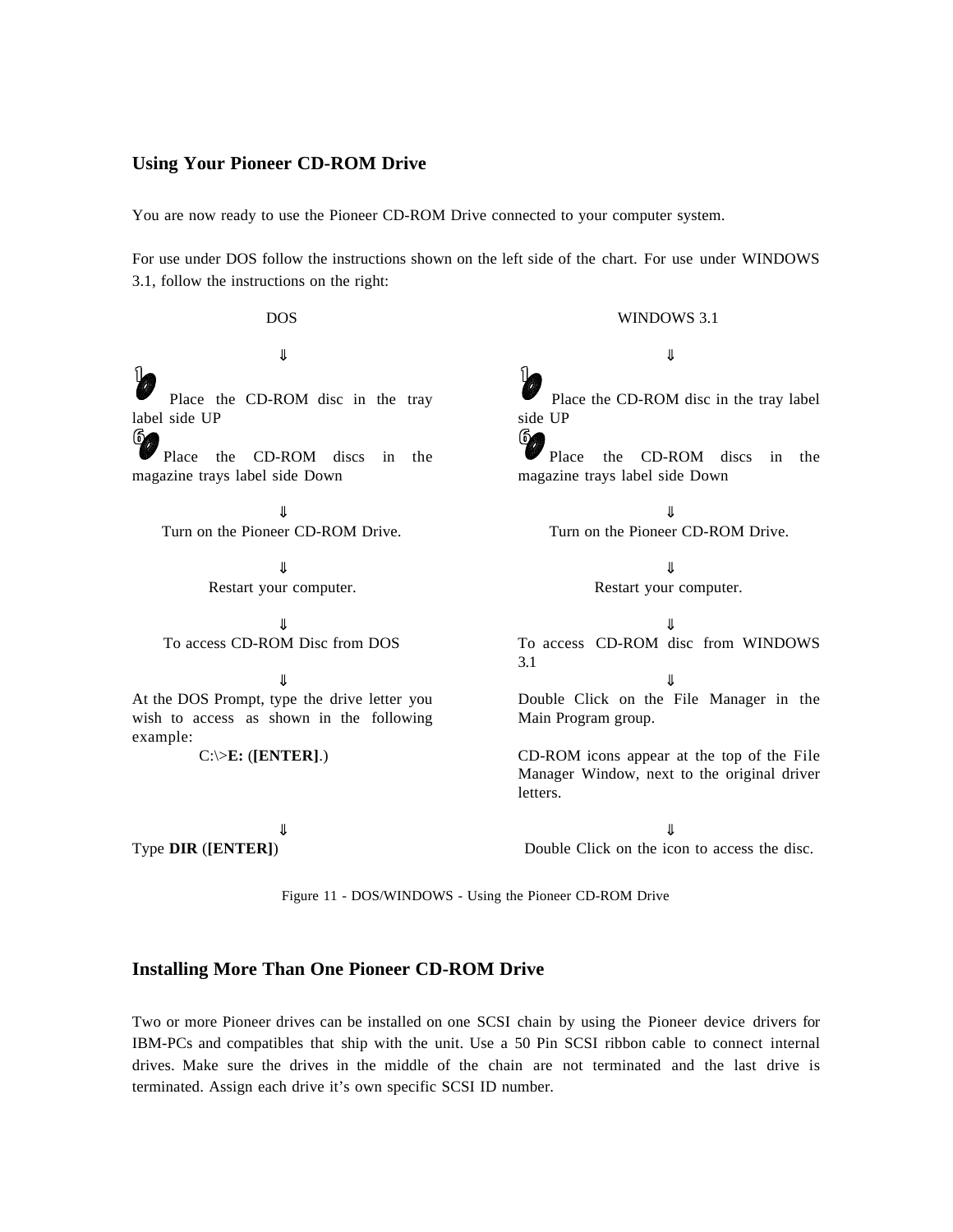## **Using Your Pioneer CD-ROM Drive**

You are now ready to use the Pioneer CD-ROM Drive connected to your computer system.

For use under DOS follow the instructions shown on the left side of the chart. For use under WINDOWS 3.1, follow the instructions on the right:

DOS WINDOWS 3.1  $\downarrow$ 1 Place the CD-ROM disc in the tray label side UP 6 Place the CD-ROM discs in the magazine trays label side Down 1 Place the CD-ROM disc in the tray label side UP **64** Place the CD-ROM discs in the magazine trays label side Down  $\downarrow$ Turn on the Pioneer CD-ROM Drive. Turn on the Pioneer CD-ROM Drive.  $\downarrow$ Restart your computer. Restart your computer.  $\downarrow$ To access CD-ROM Disc from DOS To access CD-ROM disc from WINDOWS 3.1  $\downarrow$ At the DOS Prompt, type the drive letter you wish to access as shown in the following example: Double Click on the File Manager in the Main Program group. C:\>**E:** (**[ENTER]**.) CD-ROM icons appear at the top of the File Manager Window, next to the original driver letters.  $\downarrow$ Type **DIR** (**[ENTER]**) Double Click on the icon to access the disc.

Figure 11 - DOS/WINDOWS - Using the Pioneer CD-ROM Drive

## **Installing More Than One Pioneer CD-ROM Drive**

Two or more Pioneer drives can be installed on one SCSI chain by using the Pioneer device drivers for IBM-PCs and compatibles that ship with the unit. Use a 50 Pin SCSI ribbon cable to connect internal drives. Make sure the drives in the middle of the chain are not terminated and the last drive is terminated. Assign each drive it's own specific SCSI ID number.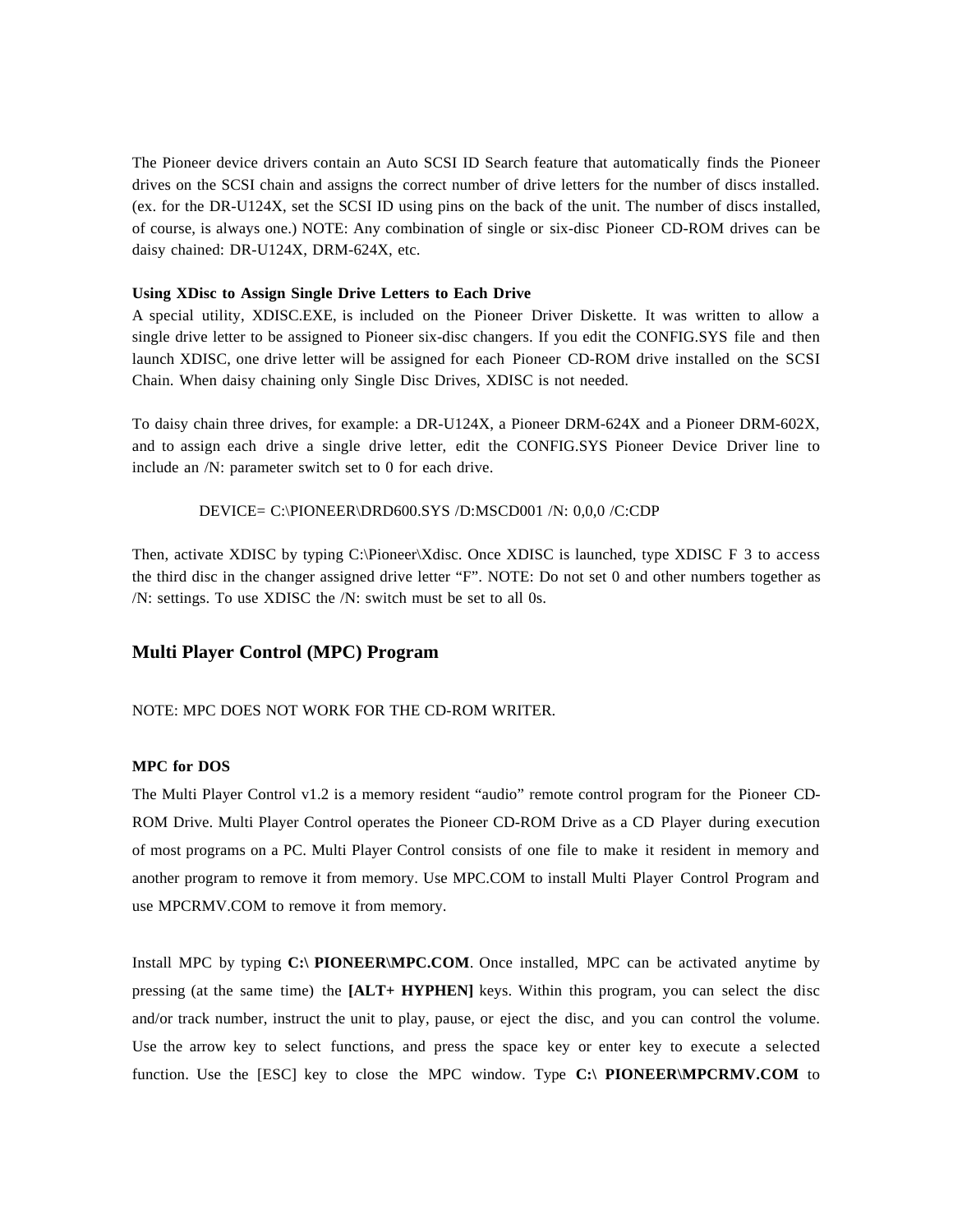The Pioneer device drivers contain an Auto SCSI ID Search feature that automatically finds the Pioneer drives on the SCSI chain and assigns the correct number of drive letters for the number of discs installed. (ex. for the DR-U124X, set the SCSI ID using pins on the back of the unit. The number of discs installed, of course, is always one.) NOTE: Any combination of single or six-disc Pioneer CD-ROM drives can be daisy chained: DR-U124X, DRM-624X, etc.

#### **Using XDisc to Assign Single Drive Letters to Each Drive**

A special utility, XDISC.EXE, is included on the Pioneer Driver Diskette. It was written to allow a single drive letter to be assigned to Pioneer six-disc changers. If you edit the CONFIG.SYS file and then launch XDISC, one drive letter will be assigned for each Pioneer CD-ROM drive installed on the SCSI Chain. When daisy chaining only Single Disc Drives, XDISC is not needed.

To daisy chain three drives, for example: a DR-U124X, a Pioneer DRM-624X and a Pioneer DRM-602X, and to assign each drive a single drive letter, edit the CONFIG.SYS Pioneer Device Driver line to include an /N: parameter switch set to 0 for each drive.

## DEVICE= C:\PIONEER\DRD600.SYS /D:MSCD001 /N: 0,0,0 /C:CDP

Then, activate XDISC by typing C:\Pioneer\Xdisc. Once XDISC is launched, type XDISC F 3 to access the third disc in the changer assigned drive letter "F". NOTE: Do not set 0 and other numbers together as /N: settings. To use XDISC the /N: switch must be set to all 0s.

#### **Multi Player Control (MPC) Program**

## NOTE: MPC DOES NOT WORK FOR THE CD-ROM WRITER.

## **MPC for DOS**

The Multi Player Control v1.2 is a memory resident "audio" remote control program for the Pioneer CD-ROM Drive. Multi Player Control operates the Pioneer CD-ROM Drive as a CD Player during execution of most programs on a PC. Multi Player Control consists of one file to make it resident in memory and another program to remove it from memory. Use MPC.COM to install Multi Player Control Program and use MPCRMV.COM to remove it from memory.

Install MPC by typing **C:\ PIONEER\MPC.COM**. Once installed, MPC can be activated anytime by pressing (at the same time) the **[ALT+ HYPHEN]** keys. Within this program, you can select the disc and/or track number, instruct the unit to play, pause, or eject the disc, and you can control the volume. Use the arrow key to select functions, and press the space key or enter key to execute a selected function. Use the [ESC] key to close the MPC window. Type **C:\ PIONEER\MPCRMV.COM** to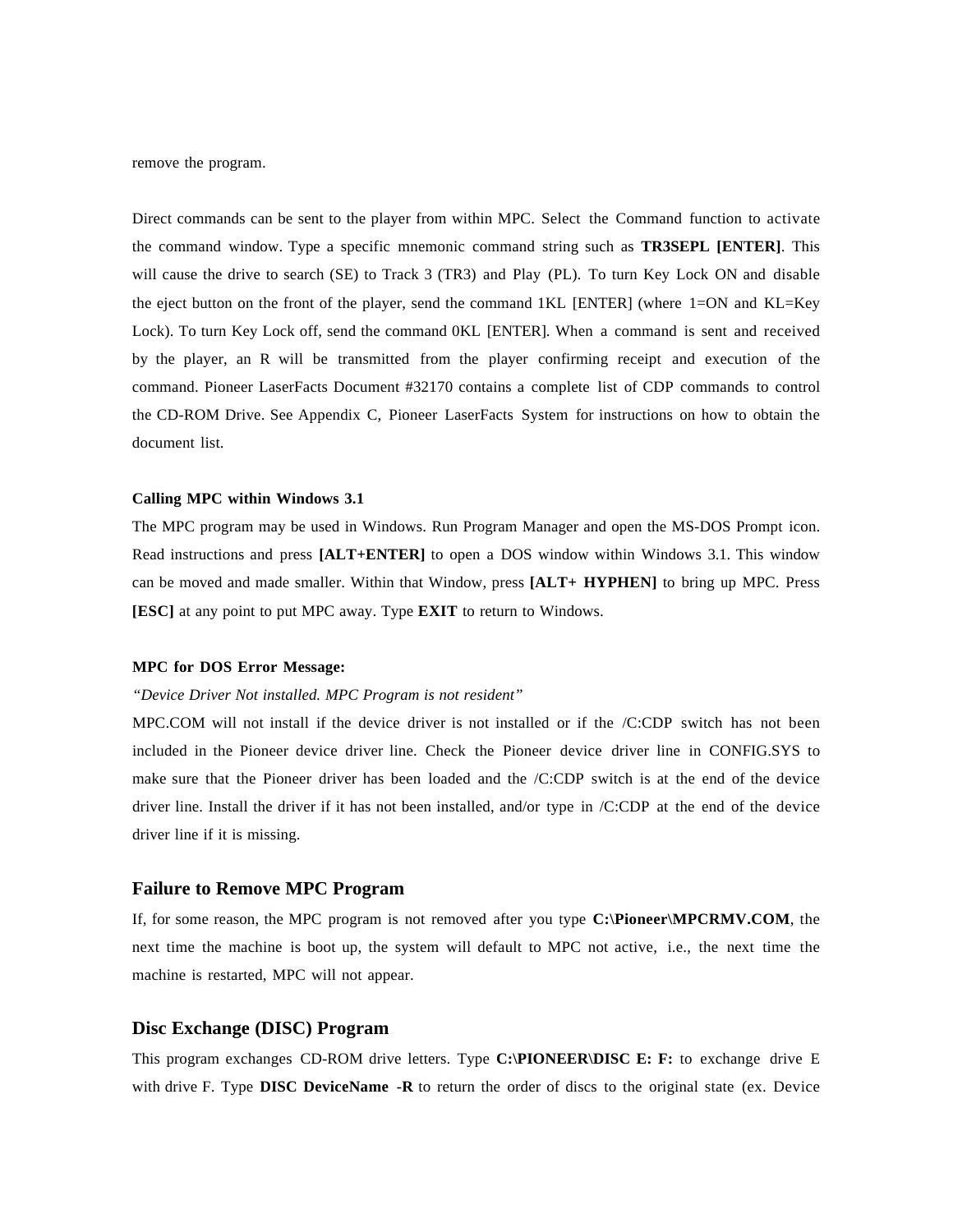remove the program.

Direct commands can be sent to the player from within MPC. Select the Command function to activate the command window. Type a specific mnemonic command string such as **TR3SEPL [ENTER]**. This will cause the drive to search (SE) to Track 3 (TR3) and Play (PL). To turn Key Lock ON and disable the eject button on the front of the player, send the command 1KL [ENTER] (where 1=ON and KL=Key Lock). To turn Key Lock off, send the command 0KL [ENTER]. When a command is sent and received by the player, an R will be transmitted from the player confirming receipt and execution of the command. Pioneer LaserFacts Document #32170 contains a complete list of CDP commands to control the CD-ROM Drive. See Appendix C, Pioneer LaserFacts System for instructions on how to obtain the document list.

## **Calling MPC within Windows 3.1**

The MPC program may be used in Windows. Run Program Manager and open the MS-DOS Prompt icon. Read instructions and press **[ALT+ENTER]** to open a DOS window within Windows 3.1. This window can be moved and made smaller. Within that Window, press **[ALT+ HYPHEN]** to bring up MPC. Press **[ESC]** at any point to put MPC away. Type **EXIT** to return to Windows.

## **MPC for DOS Error Message:**

## *"Device Driver Not installed. MPC Program is not resident"*

MPC.COM will not install if the device driver is not installed or if the /C:CDP switch has not been included in the Pioneer device driver line. Check the Pioneer device driver line in CONFIG.SYS to make sure that the Pioneer driver has been loaded and the /C:CDP switch is at the end of the device driver line. Install the driver if it has not been installed, and/or type in /C:CDP at the end of the device driver line if it is missing.

## **Failure to Remove MPC Program**

If, for some reason, the MPC program is not removed after you type **C:\Pioneer\MPCRMV.COM**, the next time the machine is boot up, the system will default to MPC not active, i.e., the next time the machine is restarted, MPC will not appear.

## **Disc Exchange (DISC) Program**

This program exchanges CD-ROM drive letters. Type **C:\PIONEER\DISC E: F:** to exchange drive E with drive F. Type **DISC DeviceName -R** to return the order of discs to the original state (ex. Device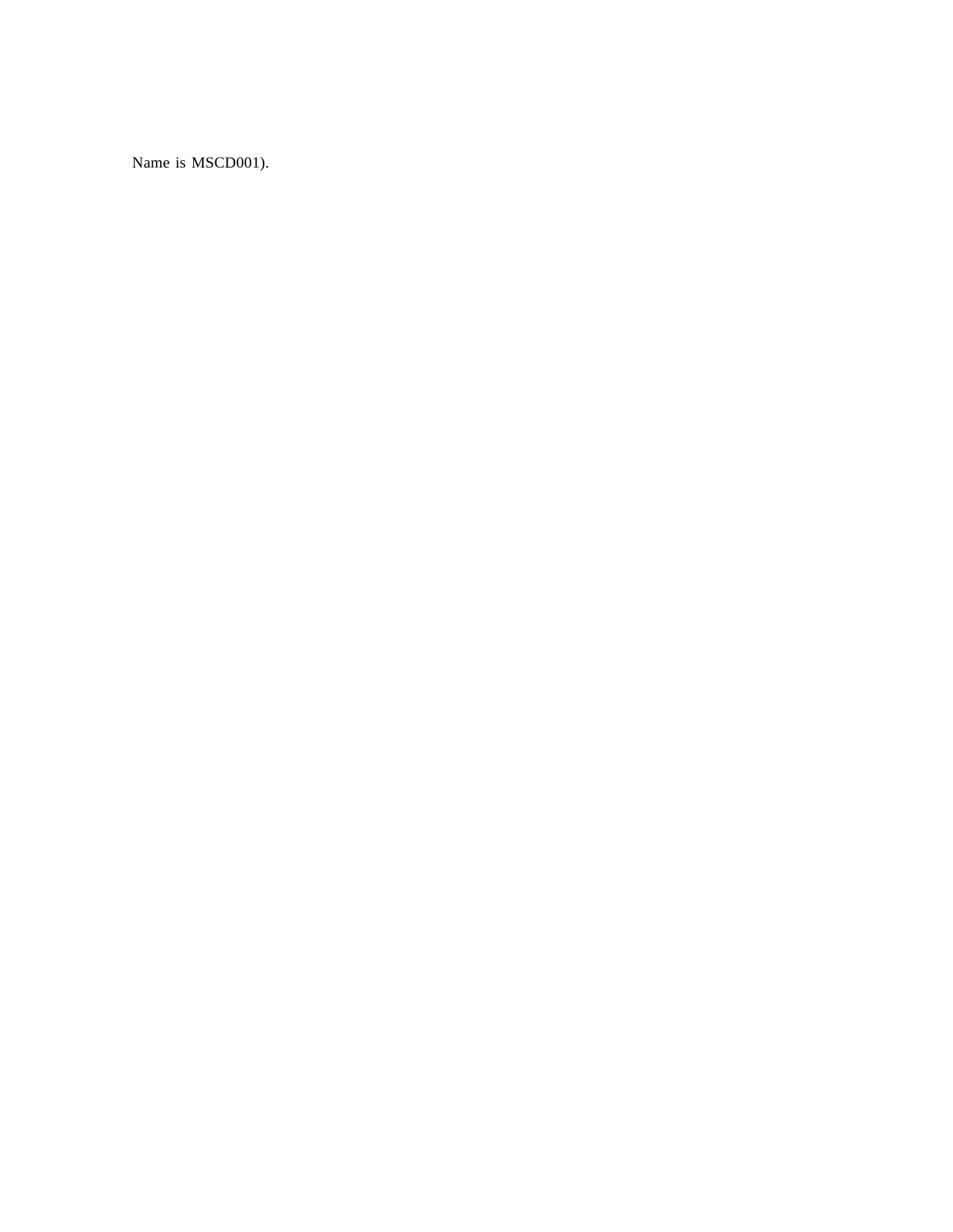Name is MSCD001).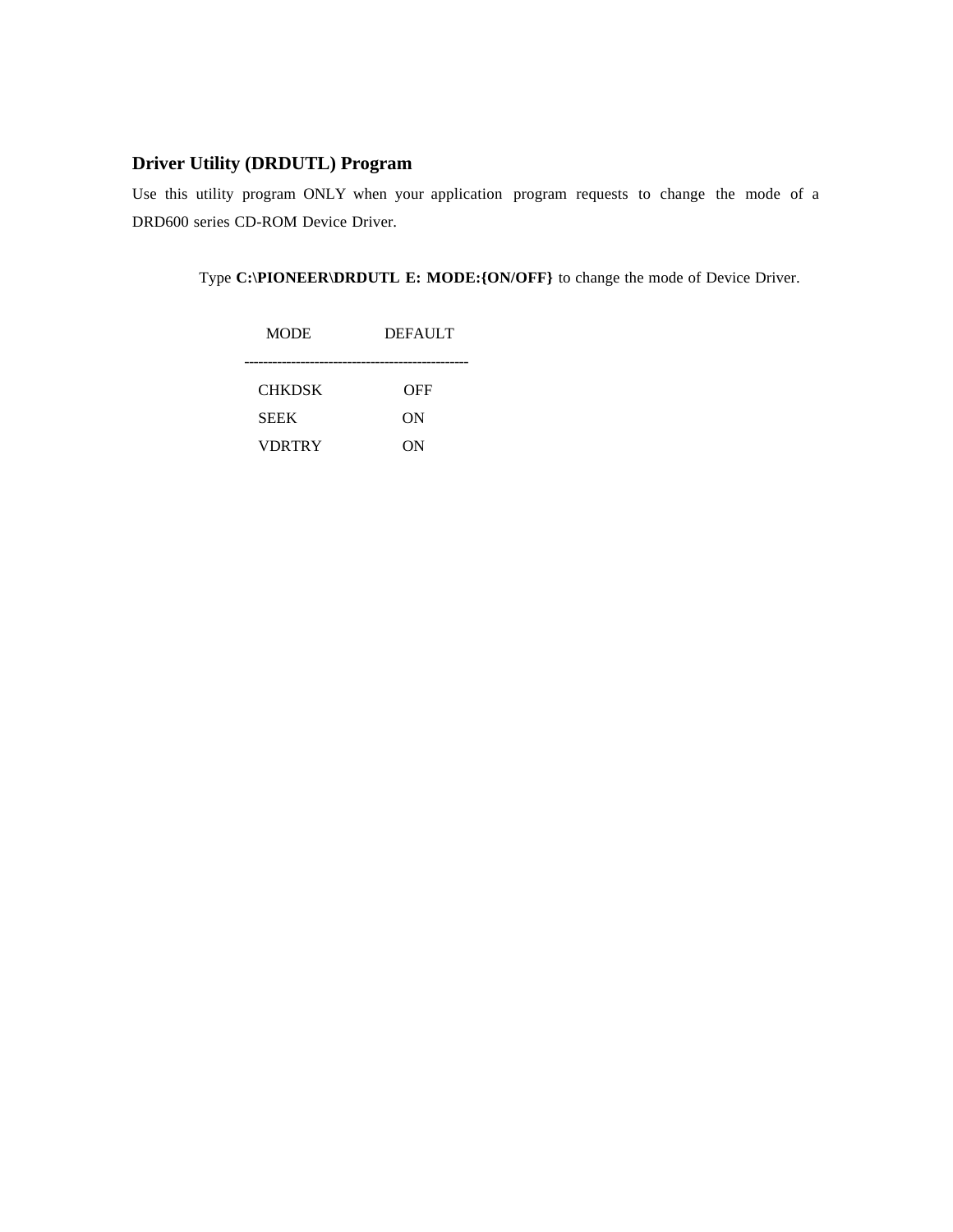## **Driver Utility (DRDUTL) Program**

Use this utility program ONLY when your application program requests to change the mode of a DRD600 series CD-ROM Device Driver.

Type **C:\PIONEER\DRDUTL E: MODE:{ON/OFF}** to change the mode of Device Driver.

| <b>MODE</b>   | <b>DEFAULT</b> |
|---------------|----------------|
| <b>CHKDSK</b> | OFF            |
| <b>SEEK</b>   | ON             |
| <b>VDRTRY</b> | OΝ             |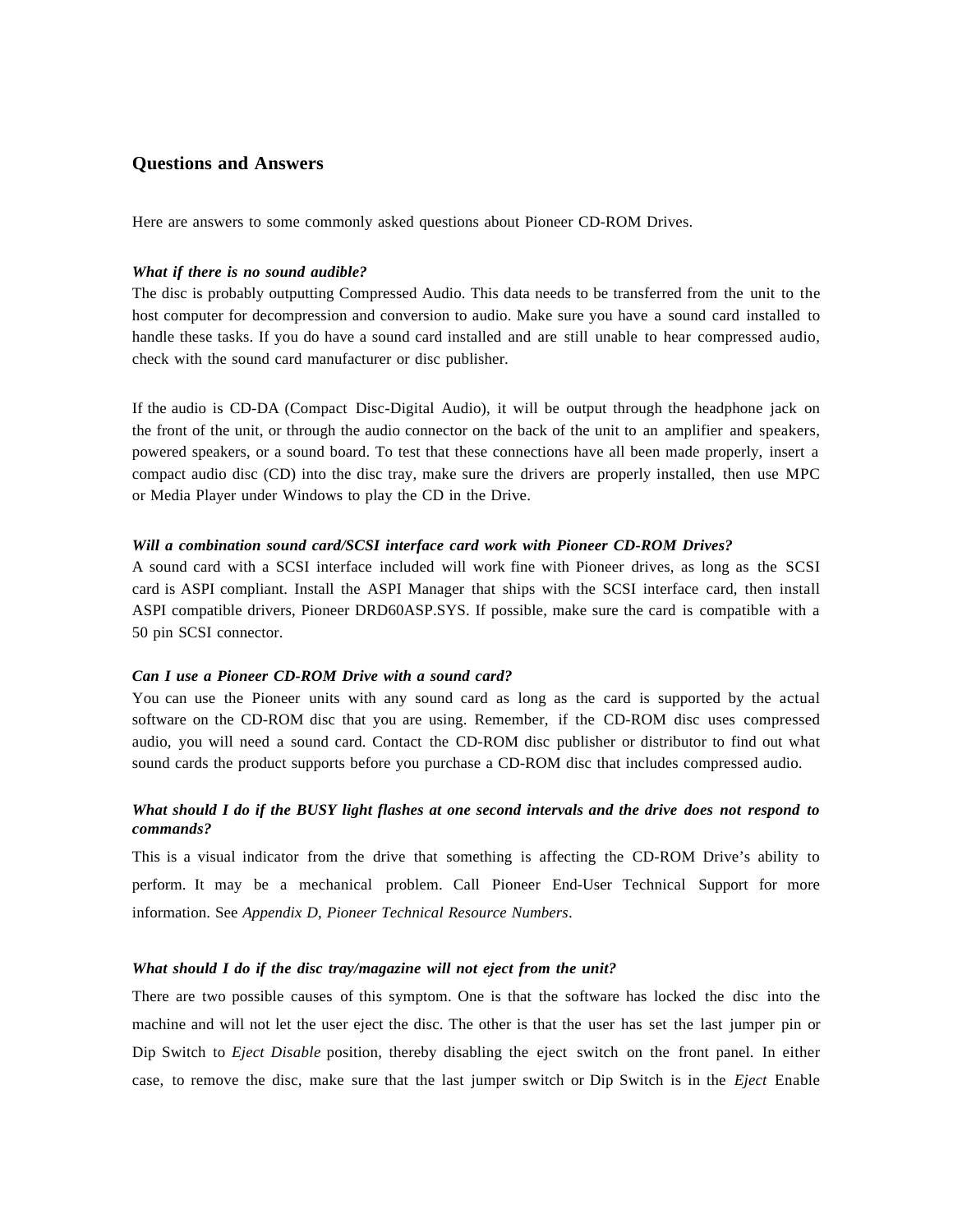## **Questions and Answers**

Here are answers to some commonly asked questions about Pioneer CD-ROM Drives.

#### *What if there is no sound audible?*

The disc is probably outputting Compressed Audio. This data needs to be transferred from the unit to the host computer for decompression and conversion to audio. Make sure you have a sound card installed to handle these tasks. If you do have a sound card installed and are still unable to hear compressed audio, check with the sound card manufacturer or disc publisher.

If the audio is CD-DA (Compact Disc-Digital Audio), it will be output through the headphone jack on the front of the unit, or through the audio connector on the back of the unit to an amplifier and speakers, powered speakers, or a sound board. To test that these connections have all been made properly, insert a compact audio disc (CD) into the disc tray, make sure the drivers are properly installed, then use MPC or Media Player under Windows to play the CD in the Drive.

#### *Will a combination sound card/SCSI interface card work with Pioneer CD-ROM Drives?*

A sound card with a SCSI interface included will work fine with Pioneer drives, as long as the SCSI card is ASPI compliant. Install the ASPI Manager that ships with the SCSI interface card, then install ASPI compatible drivers, Pioneer DRD60ASP.SYS. If possible, make sure the card is compatible with a 50 pin SCSI connector.

#### *Can I use a Pioneer CD-ROM Drive with a sound card?*

You can use the Pioneer units with any sound card as long as the card is supported by the actual software on the CD-ROM disc that you are using. Remember, if the CD-ROM disc uses compressed audio, you will need a sound card. Contact the CD-ROM disc publisher or distributor to find out what sound cards the product supports before you purchase a CD-ROM disc that includes compressed audio.

## *What should I do if the BUSY light flashes at one second intervals and the drive does not respond to commands?*

This is a visual indicator from the drive that something is affecting the CD-ROM Drive's ability to perform. It may be a mechanical problem. Call Pioneer End-User Technical Support for more information. See *Appendix D, Pioneer Technical Resource Numbers*.

#### *What should I do if the disc tray/magazine will not eject from the unit?*

There are two possible causes of this symptom. One is that the software has locked the disc into the machine and will not let the user eject the disc. The other is that the user has set the last jumper pin or Dip Switch to *Eject Disable* position, thereby disabling the eject switch on the front panel. In either case, to remove the disc, make sure that the last jumper switch or Dip Switch is in the *Eject* Enable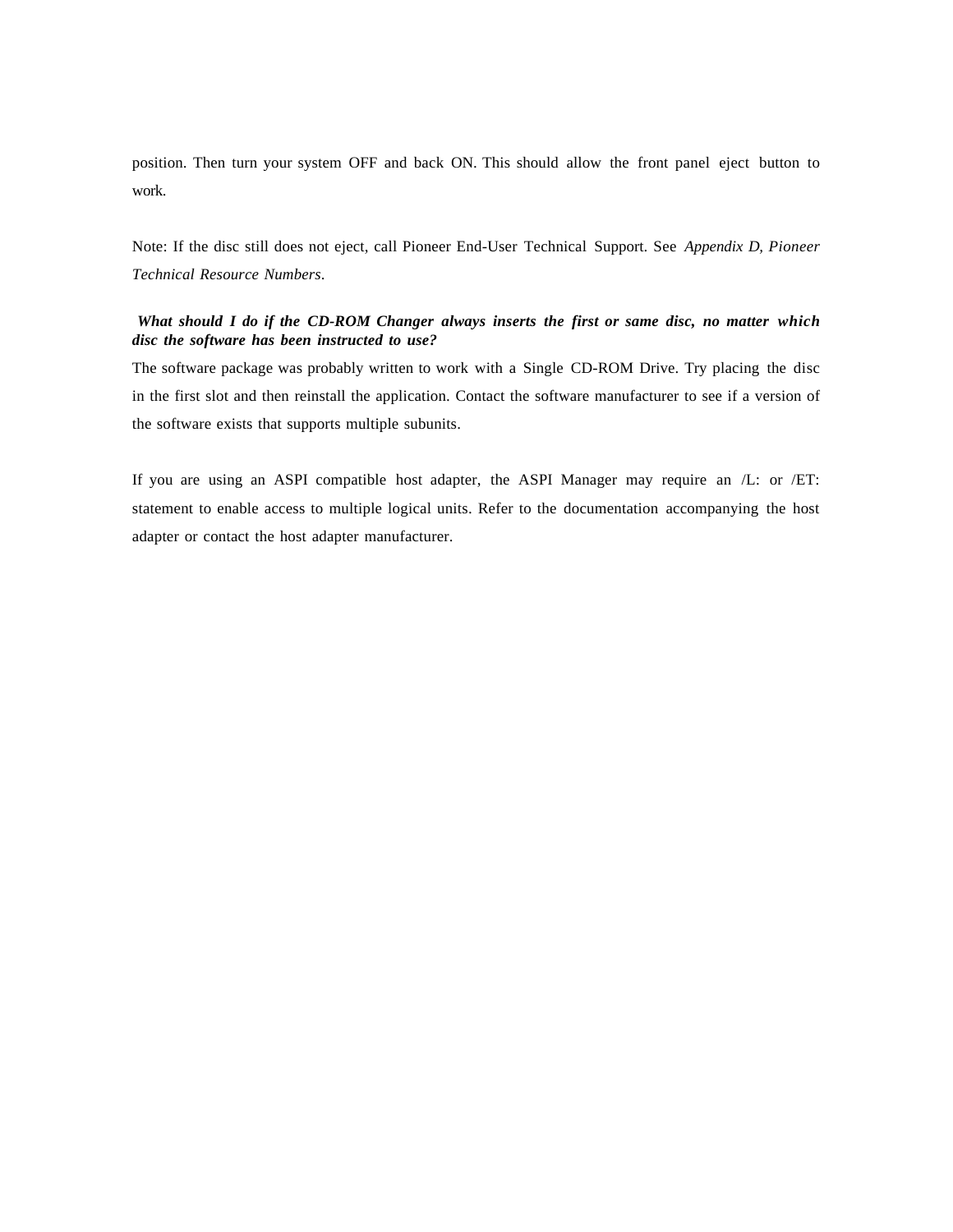position. Then turn your system OFF and back ON. This should allow the front panel eject button to work.

Note: If the disc still does not eject, call Pioneer End-User Technical Support. See *Appendix D, Pioneer Technical Resource Numbers*.

## *What should I do if the CD-ROM Changer always inserts the first or same disc, no matter which disc the software has been instructed to use?*

The software package was probably written to work with a Single CD-ROM Drive. Try placing the disc in the first slot and then reinstall the application. Contact the software manufacturer to see if a version of the software exists that supports multiple subunits.

If you are using an ASPI compatible host adapter, the ASPI Manager may require an /L: or /ET: statement to enable access to multiple logical units. Refer to the documentation accompanying the host adapter or contact the host adapter manufacturer.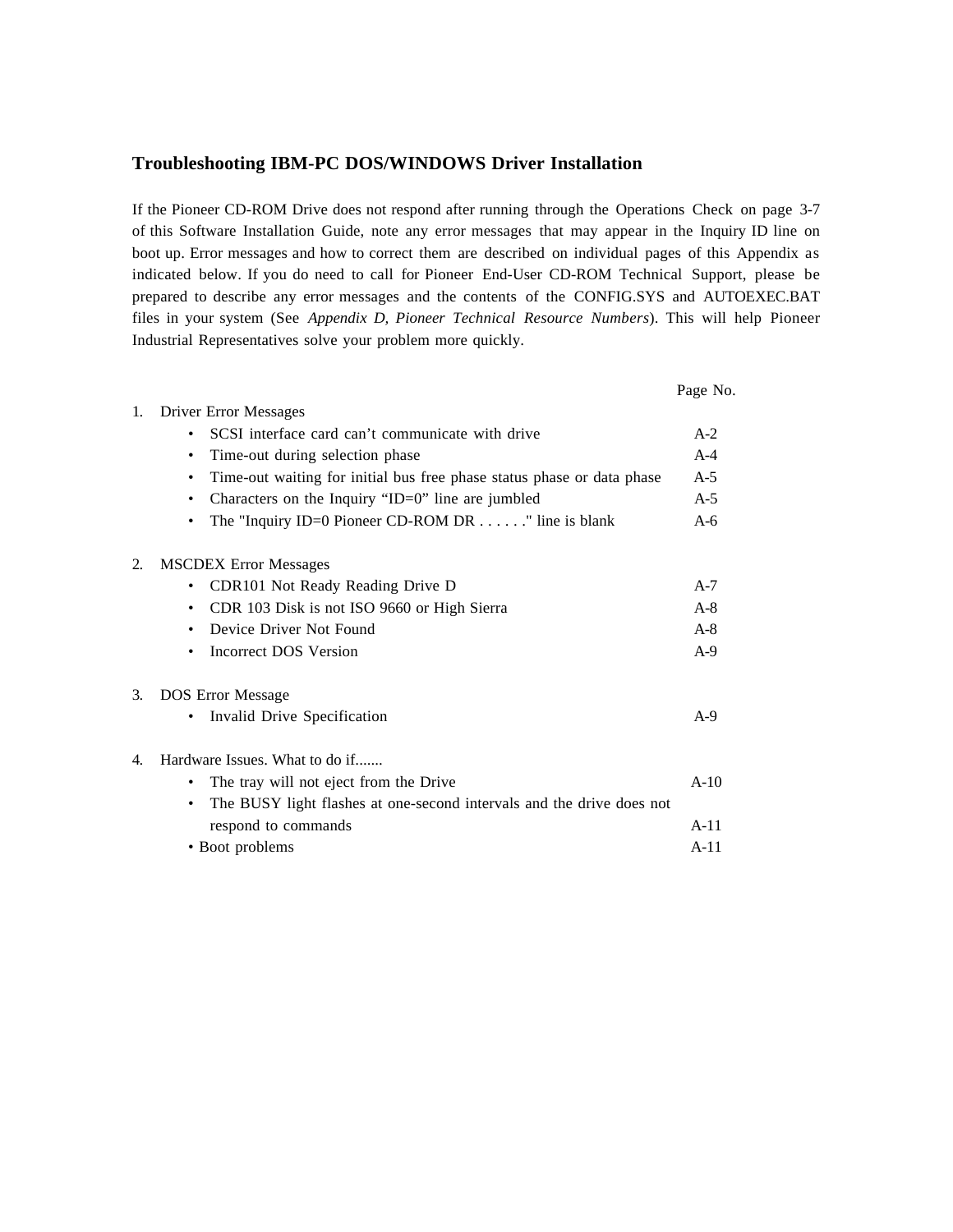## **Troubleshooting IBM-PC DOS/WINDOWS Driver Installation**

If the Pioneer CD-ROM Drive does not respond after running through the Operations Check on page 3-7 of this Software Installation Guide, note any error messages that may appear in the Inquiry ID line on boot up. Error messages and how to correct them are described on individual pages of this Appendix as indicated below. If you do need to call for Pioneer End-User CD-ROM Technical Support, please be prepared to describe any error messages and the contents of the CONFIG.SYS and AUTOEXEC.BAT files in your system (See *Appendix D, Pioneer Technical Resource Numbers*). This will help Pioneer Industrial Representatives solve your problem more quickly.

|    |                                                                             | Page No. |
|----|-----------------------------------------------------------------------------|----------|
| 1. | <b>Driver Error Messages</b>                                                |          |
|    | SCSI interface card can't communicate with drive<br>$\bullet$               | $A-2$    |
|    | Time-out during selection phase<br>٠                                        | $A-4$    |
|    | Time-out waiting for initial bus free phase status phase or data phase<br>٠ | $A-5$    |
|    | Characters on the Inquiry "ID=0" line are jumbled                           | $A-5$    |
|    | The "Inquiry ID=0 Pioneer CD-ROM DR $\ldots$ " line is blank                | $A-6$    |
| 2. | <b>MSCDEX Error Messages</b>                                                |          |
|    | CDR101 Not Ready Reading Drive D                                            | $A-7$    |
|    | CDR 103 Disk is not ISO 9660 or High Sierra<br>$\bullet$                    | $A-8$    |
|    | Device Driver Not Found<br>٠                                                | $A-8$    |
|    | Incorrect DOS Version                                                       | $A-9$    |
| 3. | <b>DOS Error Message</b>                                                    |          |
|    | Invalid Drive Specification                                                 | $A-9$    |
| 4. | Hardware Issues. What to do if                                              |          |
|    | The tray will not eject from the Drive                                      | $A-10$   |
|    | The BUSY light flashes at one-second intervals and the drive does not       |          |
|    | respond to commands                                                         | $A-11$   |
|    | • Boot problems                                                             | $A-11$   |
|    |                                                                             |          |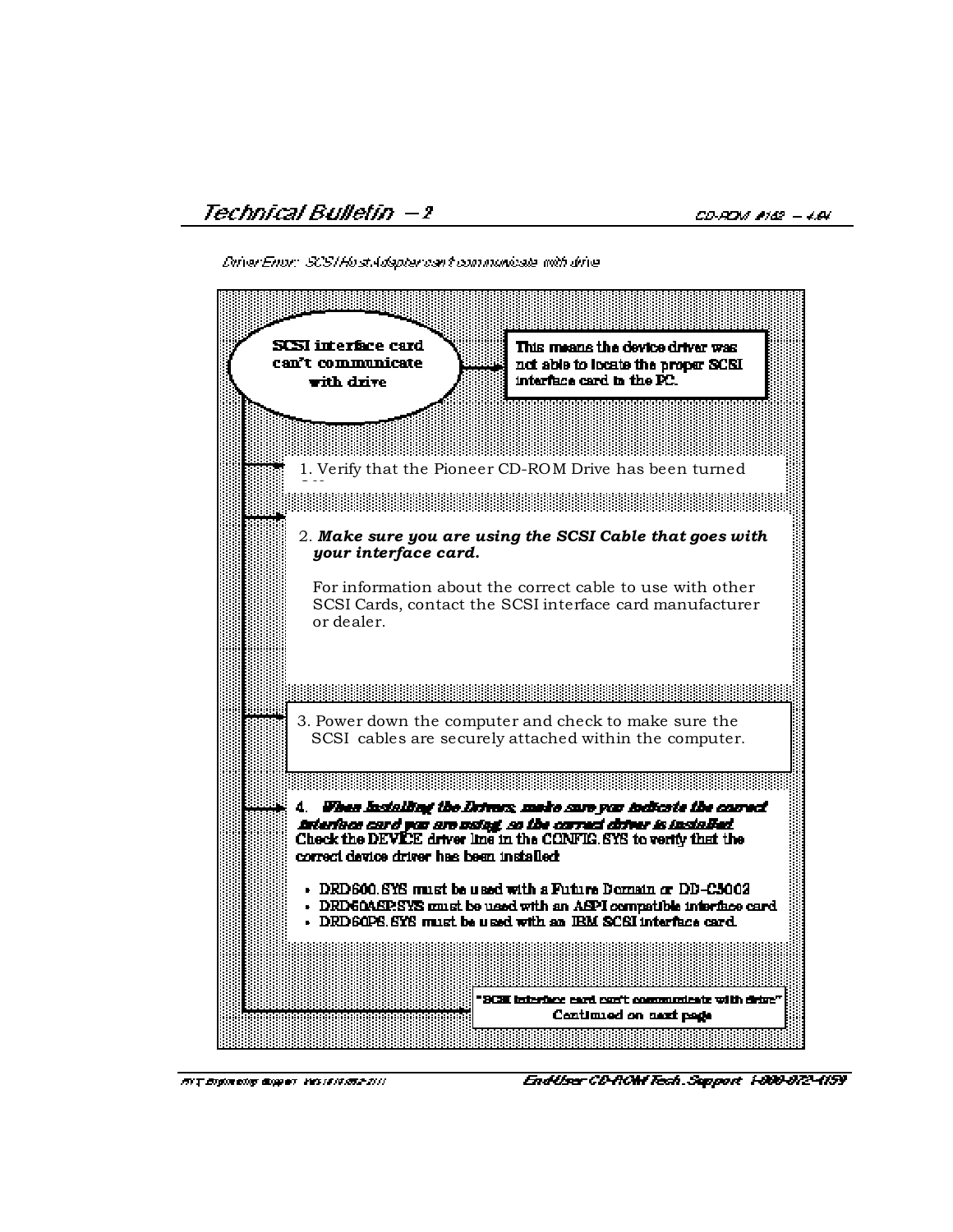Driver Enor: SCS/Host Adapter can't communicate with drive-



**HVT Engineering disspect Vesseler/RES-2111** 

EndUser CD-ROM Tech. Support 1-800-872-4159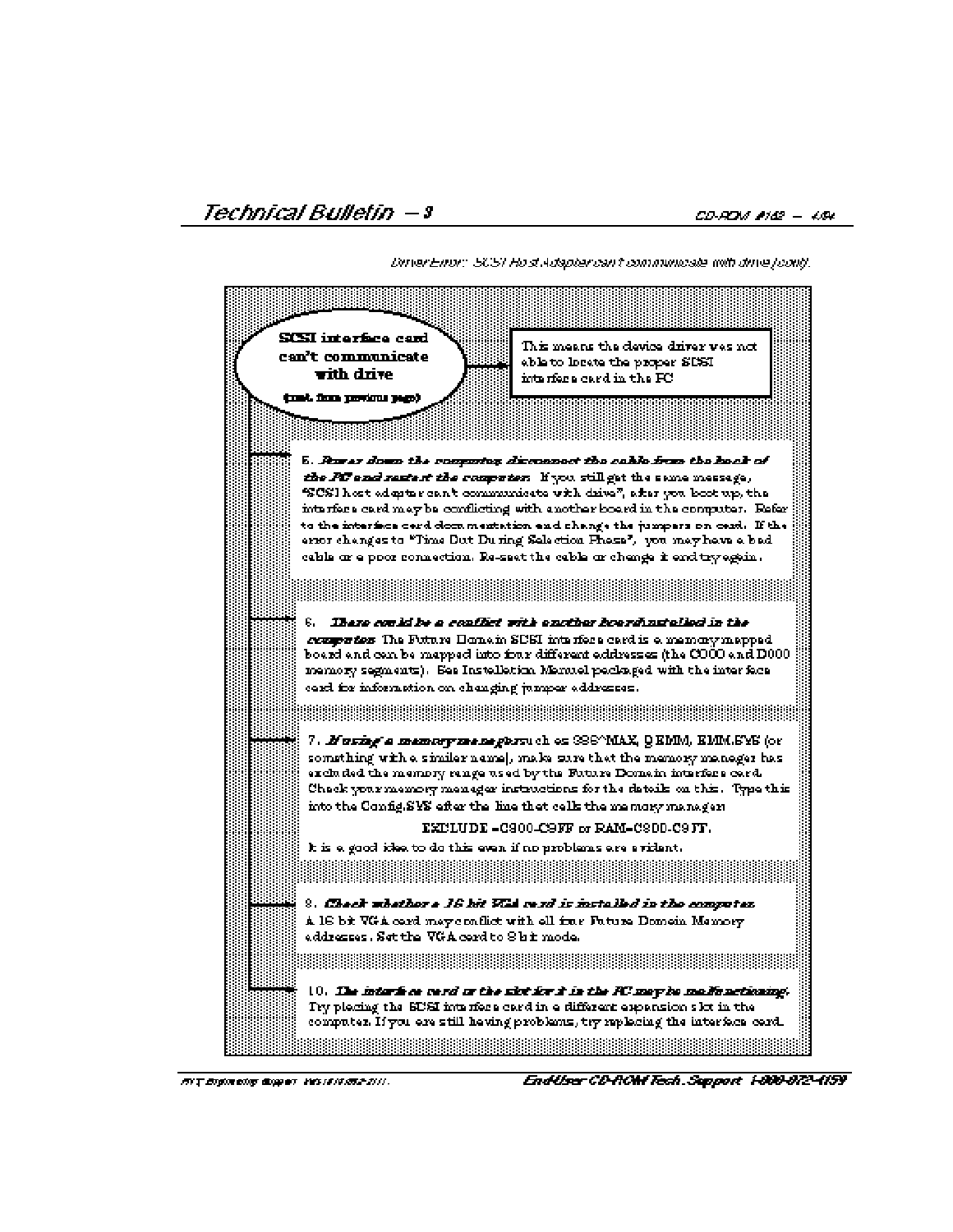DirierEnor: SCST Host Adapter can't communicate with drive [cont].

| SCSI interface card<br>can't communicate<br>with drive<br>(mat. finns partinus page). | This means the device driver was not.<br>able to locate the proper SDSI.<br>inta riene card in the FC.                                                                                                                                                                                                                                                                                                                   |
|---------------------------------------------------------------------------------------|--------------------------------------------------------------------------------------------------------------------------------------------------------------------------------------------------------------------------------------------------------------------------------------------------------------------------------------------------------------------------------------------------------------------------|
|                                                                                       | 5. Power down the computer disconnect the cable from the hack of                                                                                                                                                                                                                                                                                                                                                         |
|                                                                                       | the PC end restert the computer. If you still get the same messege,<br>SCSI host edeptor can't communicate with drive", after you boot up, the<br>interfere card may be conflicting with enother board in the computer. Eafar                                                                                                                                                                                            |
|                                                                                       | to the interiors cerd dom mentation and change the jumpers on cerd. If the<br>erior changes to "Time Dut During Selection Phese", you may have a bed.<br>cable ar e poor connection. Re-seet the cable ar chenge it end try egein.                                                                                                                                                                                       |
|                                                                                       |                                                                                                                                                                                                                                                                                                                                                                                                                          |
| card for information on changing jumper addresses.                                    | 6.   Ibero conid be a conflict with another boardinatelied in the<br>computes The Future Honein SUSI interfere card is a memory mapped.<br>board and can be mapped into four different eddresses (the COOO and D000.<br>memory segments). See Instelletion Memuel peckaged with the interface                                                                                                                            |
|                                                                                       |                                                                                                                                                                                                                                                                                                                                                                                                                          |
|                                                                                       | 7. <b>Fusing a memory memophra</b> uch on SS6^MAX, QRMM, RMM.SYS (or<br>something with a similar name], make sare that the memory manager has<br>excluded the memory range used by the Future Domain interfere card.<br>Chack your mannery manager instructions for the datails on this. Type this<br>into the Config.SVS efter the line thet cells the memory manager.<br>$\texttt{EXLUDE-G300-C9FF}$ or RAM-C8DD-C9FF. |
| k is a good idea to do this even if no problems are a vident.                         |                                                                                                                                                                                                                                                                                                                                                                                                                          |
| eddresses . Set the VGA cerd to 8 bit mode.                                           | 8. Check whether e 16 hit VCA cerd is installed in the computer.<br>A 16 bit VGA card may conflict with all fine Future Domein Memory.                                                                                                                                                                                                                                                                                   |
|                                                                                       | <u> 1999 - Johann Stoff, Amerikaansk politik (f. 1989)</u>                                                                                                                                                                                                                                                                                                                                                               |
|                                                                                       | 10. The interfere verd or the slot for it is the RC may be madic noticaing.<br>Try placing the SDSI interfere card in a different apparation slot in the<br>computer. If you are still hewing problems, try replacing the interface card.                                                                                                                                                                                |
|                                                                                       |                                                                                                                                                                                                                                                                                                                                                                                                                          |

**BYT Eightreitsy display Vassals BS2.2111** 

Endliser CD-ROM Tech. Support 1-800-872-4159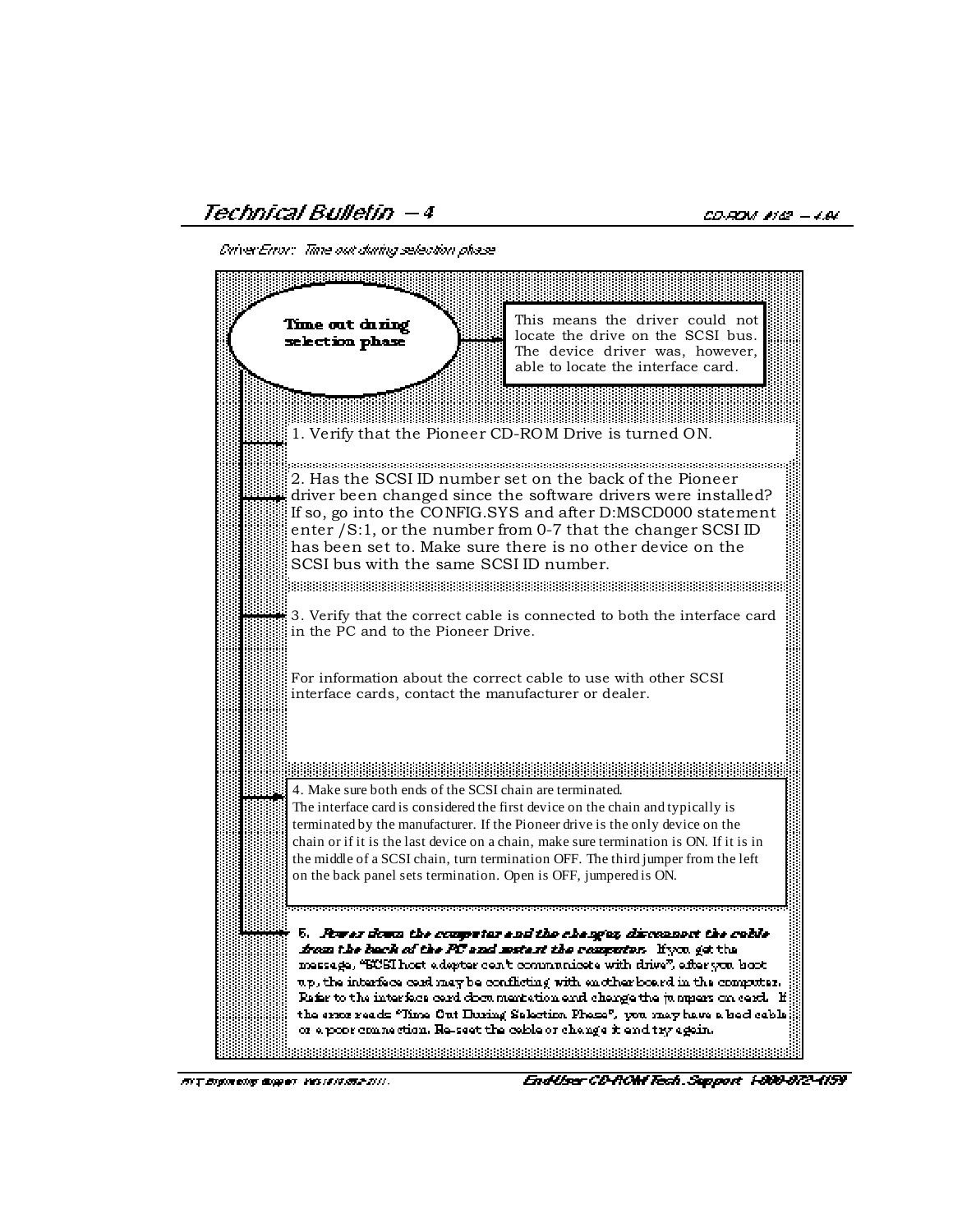Technical Bulletin –4

CD-ROM #142 - 4.84

Diriver Error: Time out during selection phase



RIT Engineering Guapers Vessele (15.2.211).

EndUser CD-ROM Tech. Support 1-800-872-4159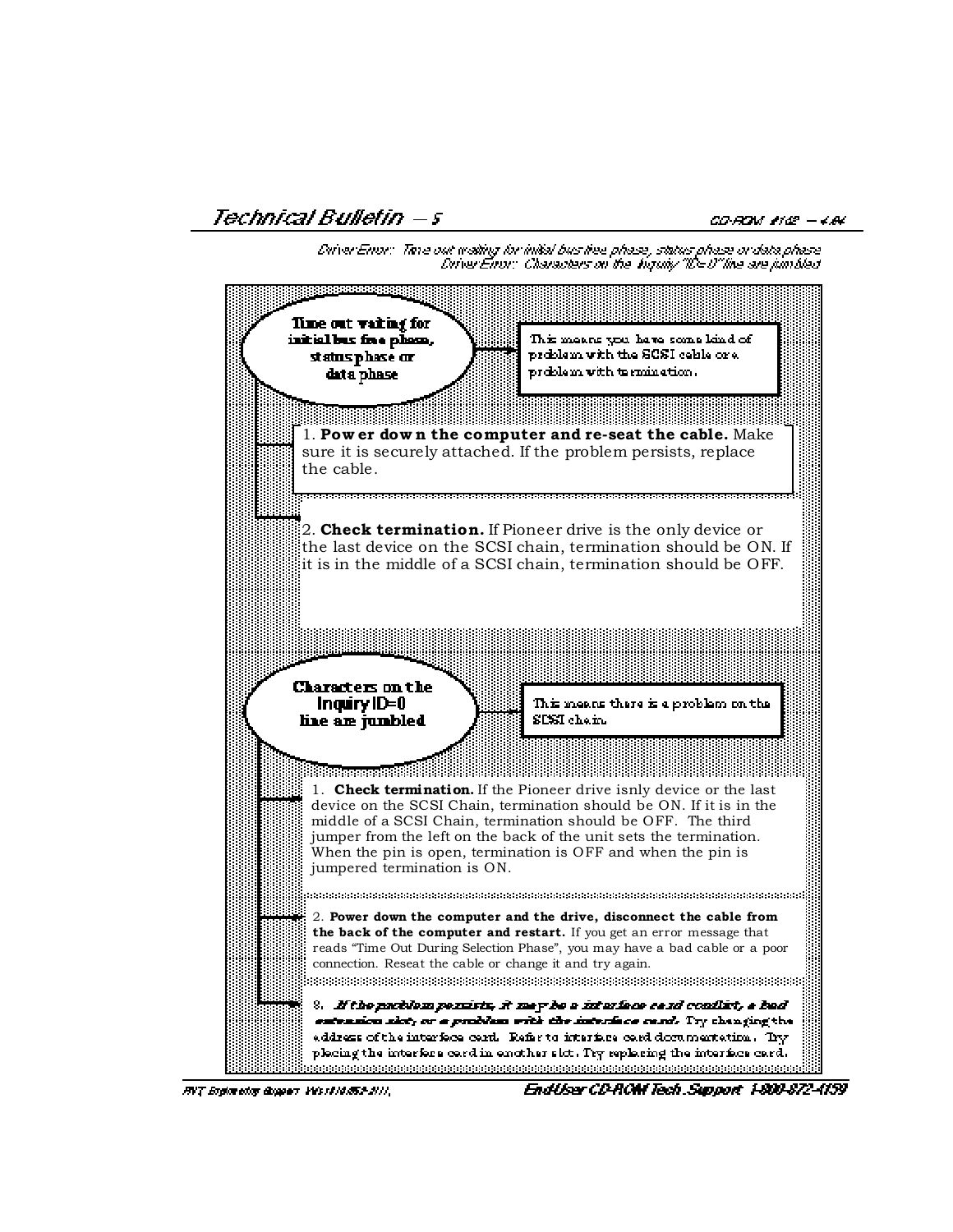Technical Bulletin — s

CO-ROM #142 - 4.84

Driver Error: Thise out mailing for initial bus liee phase, status phase or data phase. DriverEnor: Characters on the Viquity "ID=0"line are juintded.



FIVT Engineering diugears ValueAl (REAL)),

Endliser CD-ROM Tech. Support, 1-800-872-4159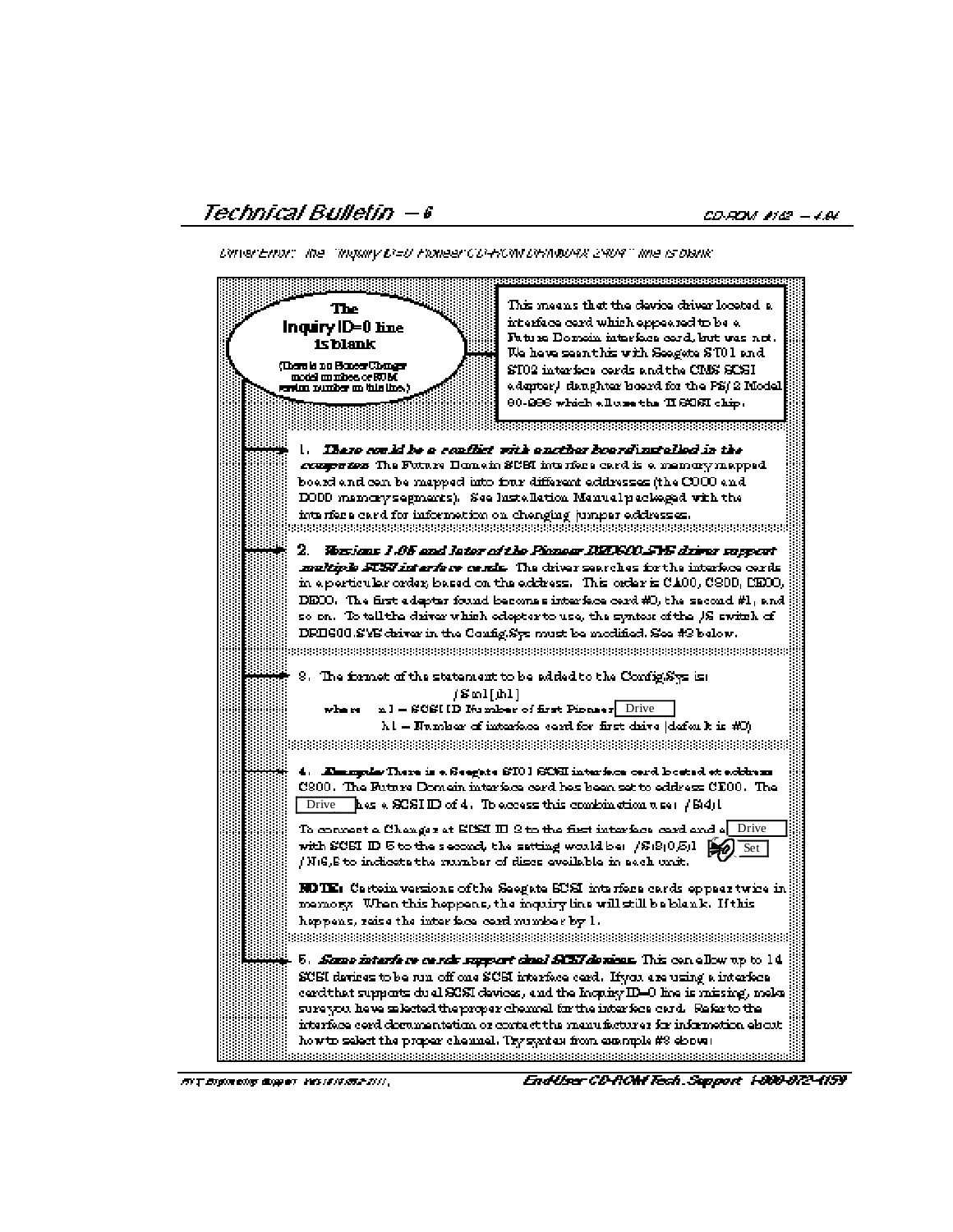DiriverEmon: The "Inquiry D'=U Pixneer CD-ROM DIRINDURX 2904" line is blank"

| The<br>Inquiry ID=0 line<br>isblank                                                 | This means that the device driver located a.<br>interface cerd which eppeared to be a<br>Futura Domain intarfaca card, but was not .                                                                                                                                                                                                                                                                  |
|-------------------------------------------------------------------------------------|-------------------------------------------------------------------------------------------------------------------------------------------------------------------------------------------------------------------------------------------------------------------------------------------------------------------------------------------------------------------------------------------------------|
| (There is no Honesy Changes<br>model munices or ROM<br>ersion number on this line.) | We heve seen this with Seegate STO1 and<br>ST02 interface cords and the CMS SCSI.<br>edepter), denghter boerd for the PS/2 Model.<br>80-286 which alluse the HSCSI chip.                                                                                                                                                                                                                              |
|                                                                                     | These could be a couffict with another boardinatelied in the<br><i>compariso</i> The Future Honein SUSI interfere card is a memory mapped.                                                                                                                                                                                                                                                            |
| interfere card for information on chenging jumper eddresses.<br>2.                  | board and can be mapped into four different addresses (the COOO and<br>DODD mamory segments). See lustellation Manual peckeged with the<br>Wasians 1.05 and later of the Pionear DZOSOO.SYS dzirer support                                                                                                                                                                                            |
|                                                                                     | multiple STST interface cends. The chiver searches for the interface cerds.<br>in a perticular order, based on the address. This order is CA00, CS00, CE00, ,<br>DEOO. The first adapter found becomes interface cerd #0, the second #1, and<br>so on. To tell the driver which edepter to use, the syntex of the 1S switch of<br>DEIG00.SYS driver in the Config.Sys must be modified. See #3 below. |
| /ளே1[நி1]<br>whore                                                                  | 8.The formet of the statement to be added to the Config.Sys is:<br>n1 - SCSI ID Humber of first Pinneer Drive<br>ht = Number of interface cerd for first drive (defeat): is #0).                                                                                                                                                                                                                      |
| Drive                                                                               | 4. Emergalas There is a Seegate STO I SCSI interface cord located at address.<br>C300. The Future Domein interface cerd hes been set to eddress CE00. The<br>hes a SCSI ID of 4. To access this combination $\pi$ set $/$ S(4) $\Gamma$                                                                                                                                                               |
| /Ni6,8 to indicate the mumber of discs evelleble in sech unit.                      | Drive<br>To connect a Changez at BDSI III S to the first interface card and a<br>with SCSI ID 5 to the second, the setting would be: $/8.8(0.5)1$ $\bigotimes$<br>Set                                                                                                                                                                                                                                 |
| happens, reise the interface cord rumber by 1.                                      | <b>NOTE:</b> Cartoin versions of the Seegate SUSI interfeca cards eppear twice in<br>memory. When this heppens, the inquiry line will still be blenk. Hthis                                                                                                                                                                                                                                           |
|                                                                                     | 5. <i>Same interfere cards support dual SCSI devises</i> . This can allow up to 14<br>SCSI devices to be run off one SCSI interface cerd. If you are using a interface<br>cerd that supports dual SCSI devices, and the Inquiry ID=0 line is missing, melon<br>sure you heve selected the proper chermal for the interfece card. Refer to the                                                         |
|                                                                                     | interface cord dominentetion or contact the menufacturer for information elscut-<br>how to select the proper chennel. Tsy syntex from example #8 ebown<br>visionis teisteisi teisteisi teisteisi teisteisi teisteisi teisteisi teisteisi teisteisi teisteisi teisteisi teisteisi teisteisi                                                                                                            |

Endliser CD-ROM Tech. Support 1-800-872-4159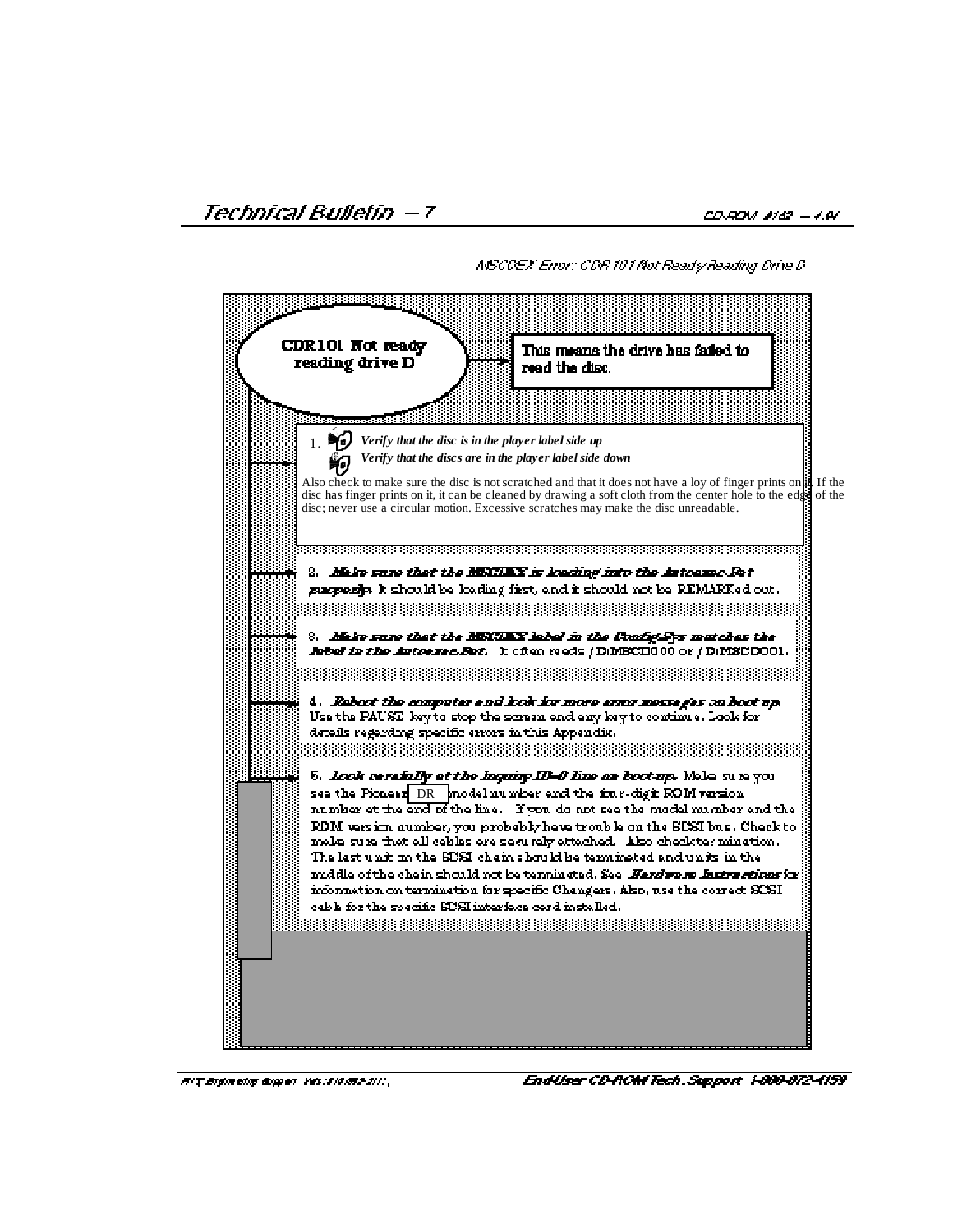**AISCOEX Enor: CDR 101 Not Ready Reading Drive D** 

| CDR101 Not ready<br>This means the drive has failed to<br>reading drive D<br>read the disc.                                                                                                                                                                                                                                                                                                                                                                                                                                                                                                                                                                                          |  |
|--------------------------------------------------------------------------------------------------------------------------------------------------------------------------------------------------------------------------------------------------------------------------------------------------------------------------------------------------------------------------------------------------------------------------------------------------------------------------------------------------------------------------------------------------------------------------------------------------------------------------------------------------------------------------------------|--|
|                                                                                                                                                                                                                                                                                                                                                                                                                                                                                                                                                                                                                                                                                      |  |
| Verify that the disc is in the player label side up<br>1.<br>Verify that the discs are in the player label side down                                                                                                                                                                                                                                                                                                                                                                                                                                                                                                                                                                 |  |
| Also check to make sure the disc is not scratched and that it does not have a loy of finger prints on <b>it</b> If the<br>disc has finger prints on it, it can be cleaned by drawing a soft cloth from the center hole to the edge of the<br>disc; never use a circular motion. Excessive scratches may make the disc unreadable.                                                                                                                                                                                                                                                                                                                                                    |  |
|                                                                                                                                                                                                                                                                                                                                                                                                                                                                                                                                                                                                                                                                                      |  |
| 2. Main sam that the MENIAN is leading into the Asteonac. Fat<br>gangeerijs it should be loading first, end it should not be REMARKed out.                                                                                                                                                                                                                                                                                                                                                                                                                                                                                                                                           |  |
|                                                                                                                                                                                                                                                                                                                                                                                                                                                                                                                                                                                                                                                                                      |  |
| %. Mair sure that the MKURX label in the ConfigMys matches the<br><b>Jobel in the Autoexec.Bet.</b> It often reeds (DIMECH000 or (DIMECH0001.                                                                                                                                                                                                                                                                                                                                                                                                                                                                                                                                        |  |
|                                                                                                                                                                                                                                                                                                                                                                                                                                                                                                                                                                                                                                                                                      |  |
| 4. Rabect the computer and look for more army meanages on hoot up.<br>Use the PAUSE key to stop the screen end eny key to continue. Look for<br>details regarding specific errors in this Appendix.                                                                                                                                                                                                                                                                                                                                                                                                                                                                                  |  |
| 6. Look cerefully et the Inquiry ID-O line on bootup. Melse sure you<br>see the Picnear DR model number end the fine-dight ROM version.<br>number et the end of the line. If you do not see the model number and the<br>RDM was ion number, you probably heve trouble on the SCSI bus. Check to<br>make sure that all cehles are securely attached. Also check termination.<br>The last unit on the SUSI chain should be termineted and units in the<br>middle of the chein should not be terminated. See <i>Herdware fastra cticas</i> for<br>information on termination for specific Changers. Also, use the correct SCSI<br>cable for the specific SUSI interface cord installed. |  |
|                                                                                                                                                                                                                                                                                                                                                                                                                                                                                                                                                                                                                                                                                      |  |

**BYT Eightreits dispert VESTERS 2011**,

Endliser CD-ROM Tech. Support 1-800-872-4159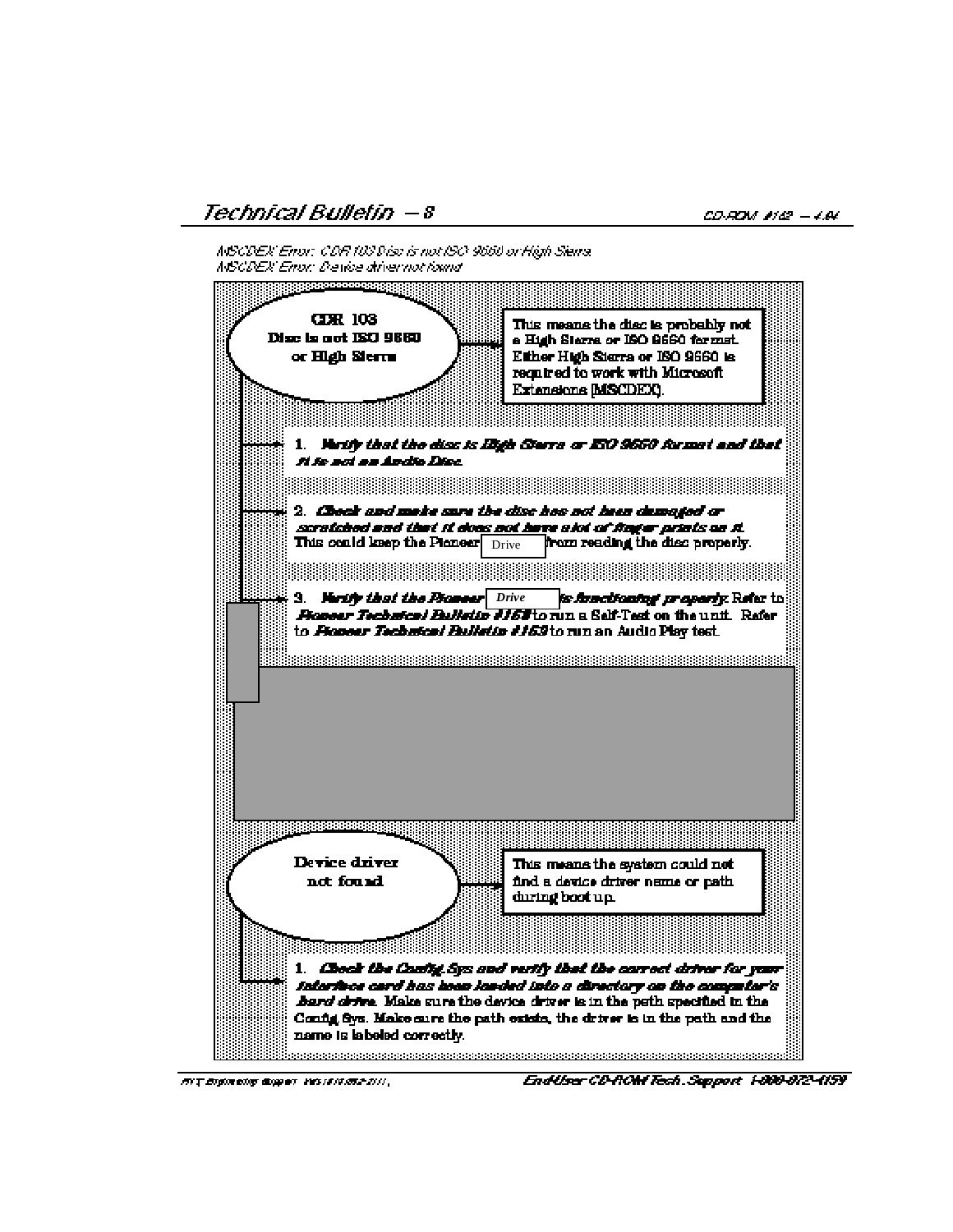Technical Bulletin – 8

CD-ROM #142 - 4.84

NSCDEX Enor: CDR 103 Disc is not ISO 9660 or High Sierra. **MSCDEX Enor: Device drivernot found** 



**HVT Engineering Guapers Vesselvense-2000** 

EndUser CD-ROM Tech. Support 1-800-872-4159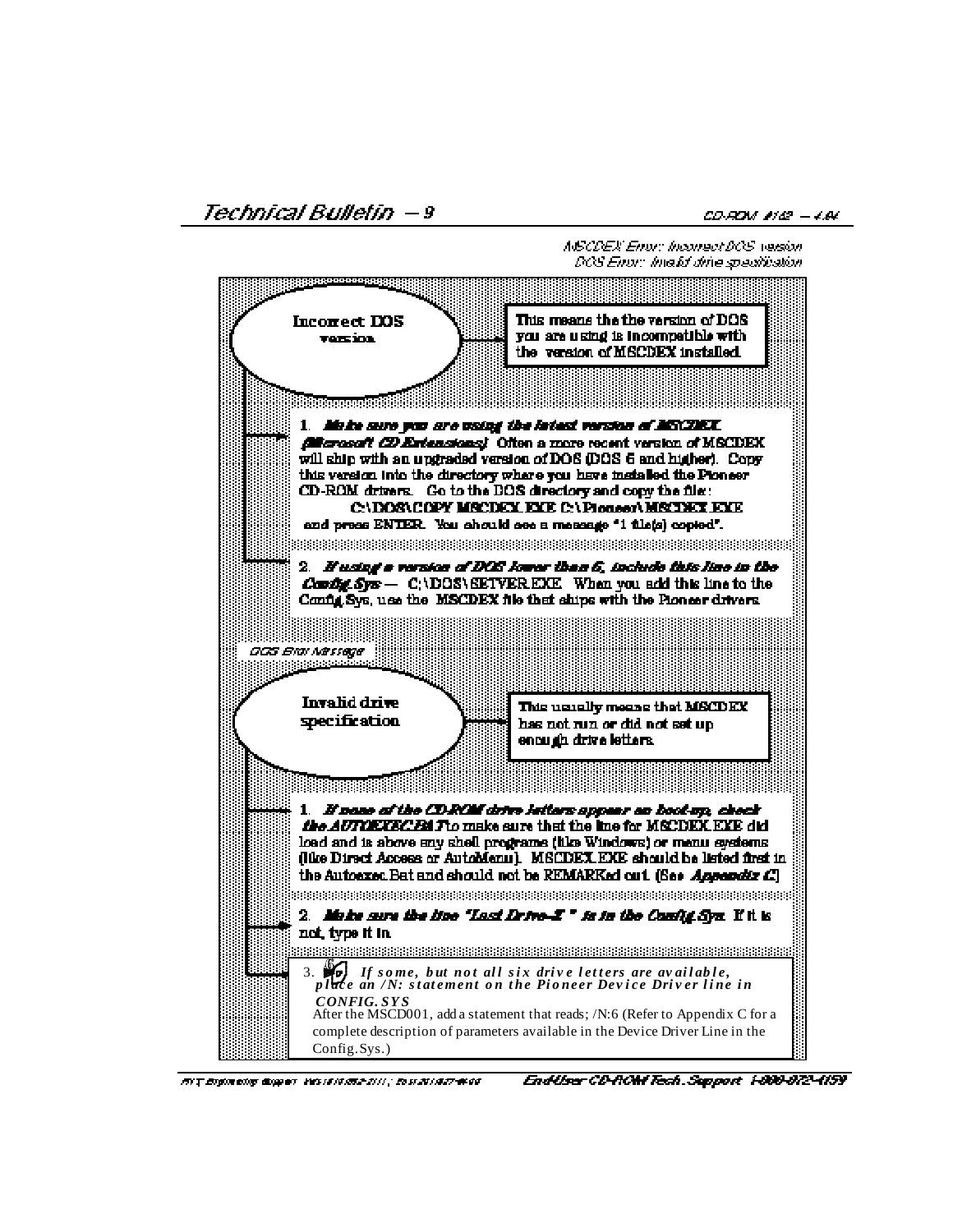Technical Bulletin – 9

CD-ROM #182 - 4.84

NSCDEX Enor: Inconect DCS version. DCS Enor: Imafel drhe specification.



HVT Engineering Guggery VessENAMSADIII; Enst 2014/27-4000

EndUser CD-ROM Tech. Support 1-800-872-4159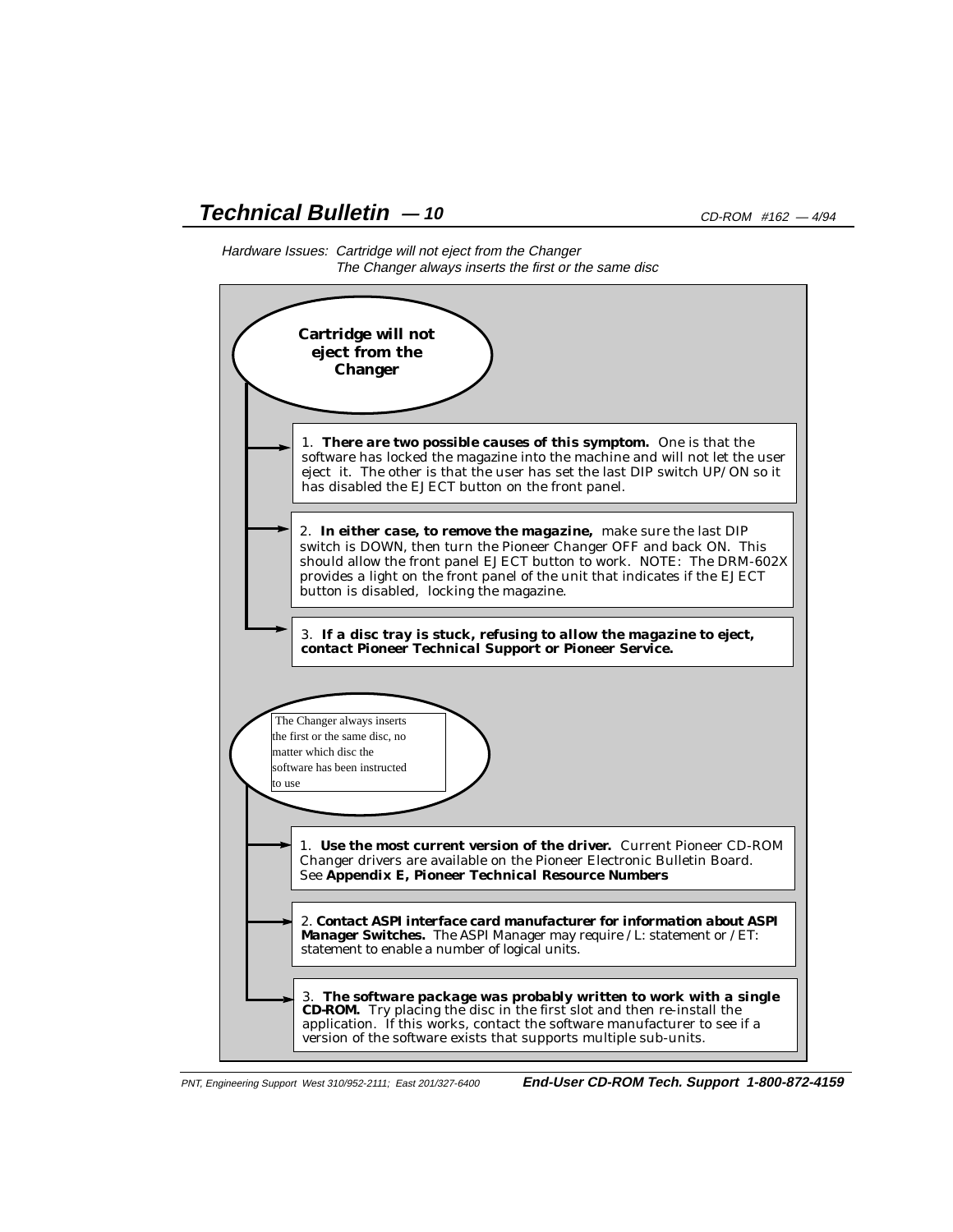# **Technical Bulletin**  $-10$  CD-ROM #162  $-4/94$





PNT, Engineering Support West 310/952-2111; East 201/327-6400 **End-User CD-ROM Tech. Support 1-800-872-4159**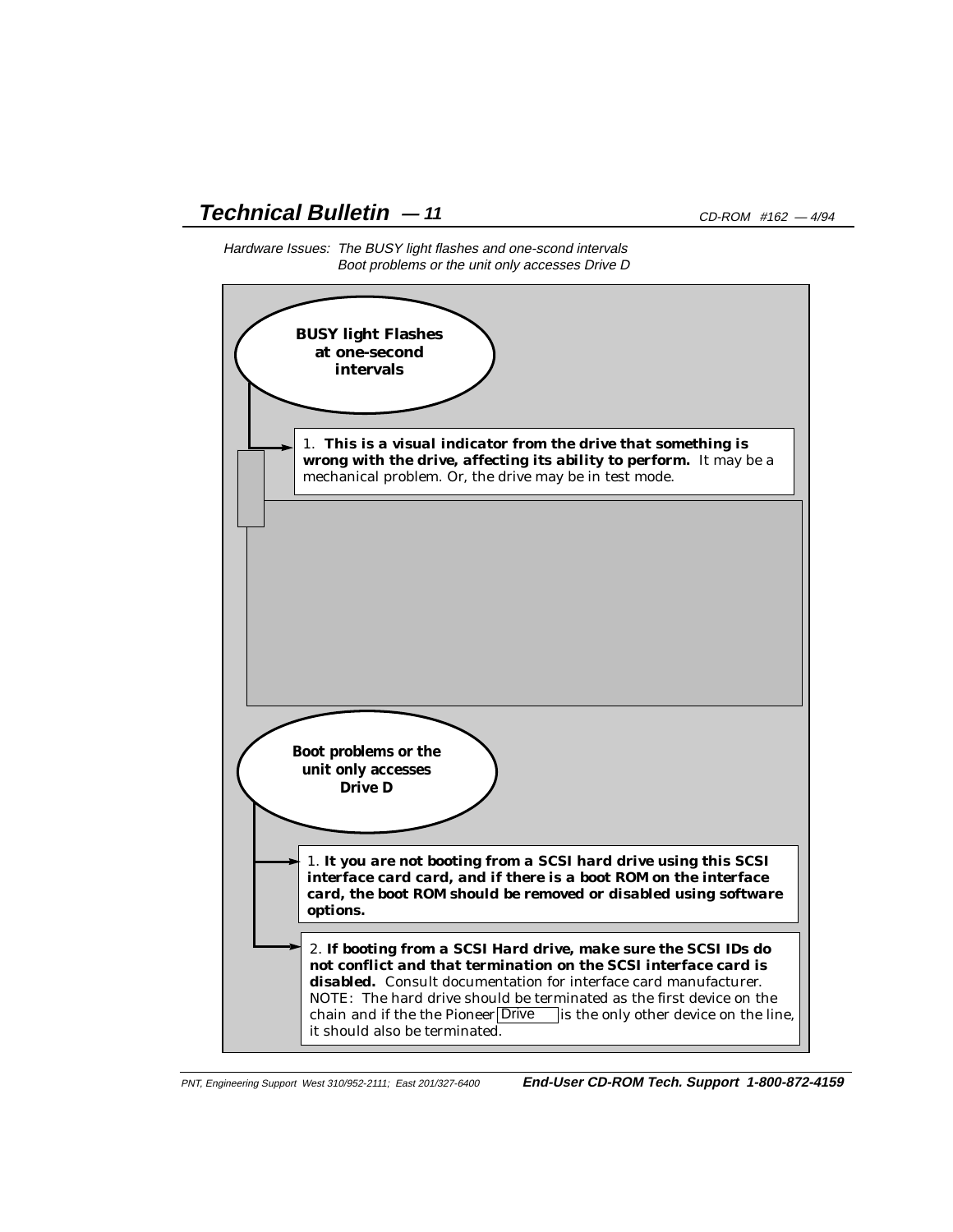# **Technical Bulletin**  $-11$  CD-ROM #162  $-4/94$



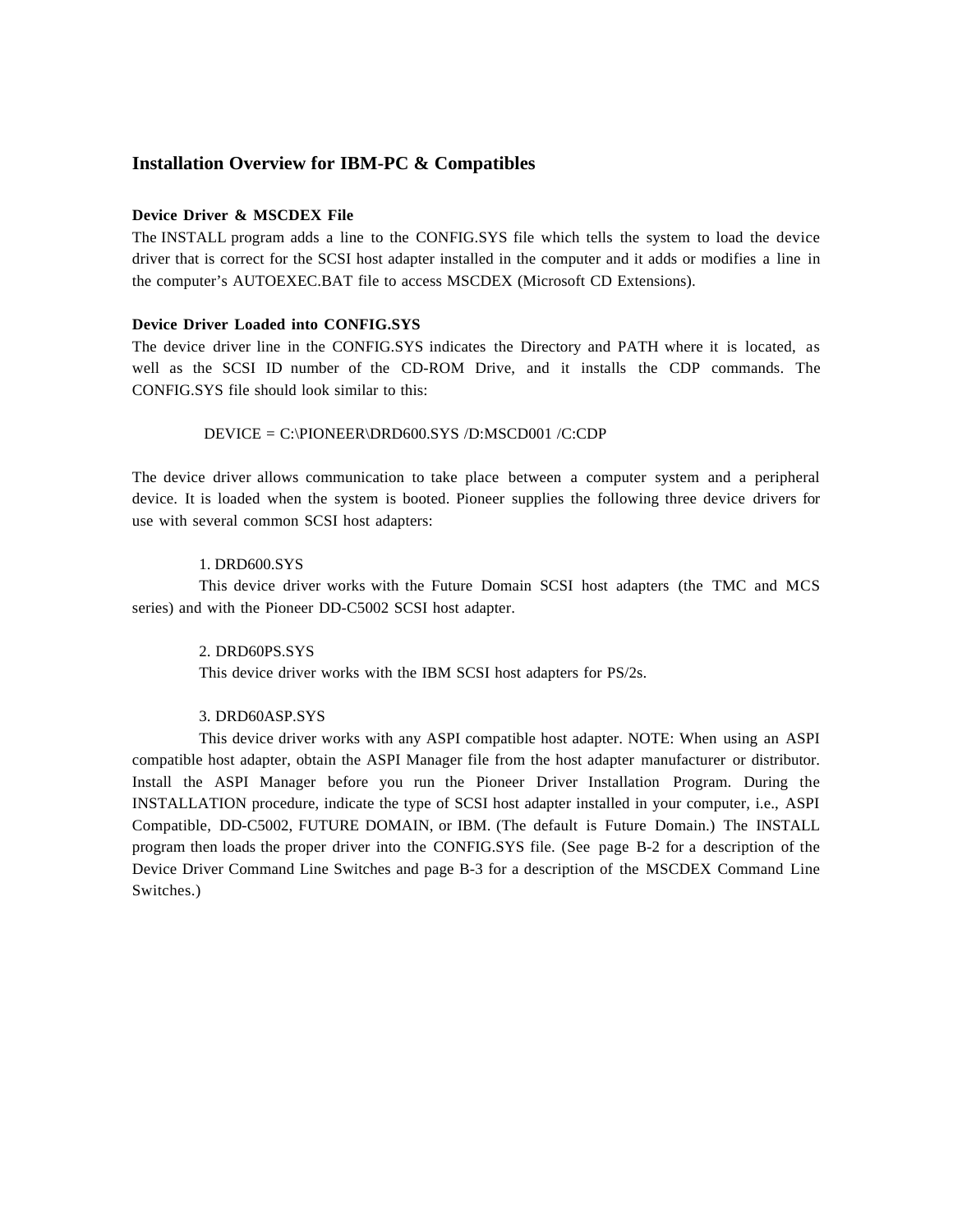## **Installation Overview for IBM-PC & Compatibles**

## **Device Driver & MSCDEX File**

The INSTALL program adds a line to the CONFIG.SYS file which tells the system to load the device driver that is correct for the SCSI host adapter installed in the computer and it adds or modifies a line in the computer's AUTOEXEC.BAT file to access MSCDEX (Microsoft CD Extensions).

#### **Device Driver Loaded into CONFIG.SYS**

The device driver line in the CONFIG.SYS indicates the Directory and PATH where it is located, as well as the SCSI ID number of the CD-ROM Drive, and it installs the CDP commands. The CONFIG.SYS file should look similar to this:

## DEVICE = C:\PIONEER\DRD600.SYS /D:MSCD001 /C:CDP

The device driver allows communication to take place between a computer system and a peripheral device. It is loaded when the system is booted. Pioneer supplies the following three device drivers for use with several common SCSI host adapters:

## 1. DRD600.SYS

This device driver works with the Future Domain SCSI host adapters (the TMC and MCS series) and with the Pioneer DD-C5002 SCSI host adapter.

#### 2. DRD60PS.SYS

This device driver works with the IBM SCSI host adapters for PS/2s.

#### 3. DRD60ASP.SYS

This device driver works with any ASPI compatible host adapter. NOTE: When using an ASPI compatible host adapter, obtain the ASPI Manager file from the host adapter manufacturer or distributor. Install the ASPI Manager before you run the Pioneer Driver Installation Program. During the INSTALLATION procedure, indicate the type of SCSI host adapter installed in your computer, i.e., ASPI Compatible, DD-C5002, FUTURE DOMAIN, or IBM. (The default is Future Domain.) The INSTALL program then loads the proper driver into the CONFIG.SYS file. (See page B-2 for a description of the Device Driver Command Line Switches and page B-3 for a description of the MSCDEX Command Line Switches.)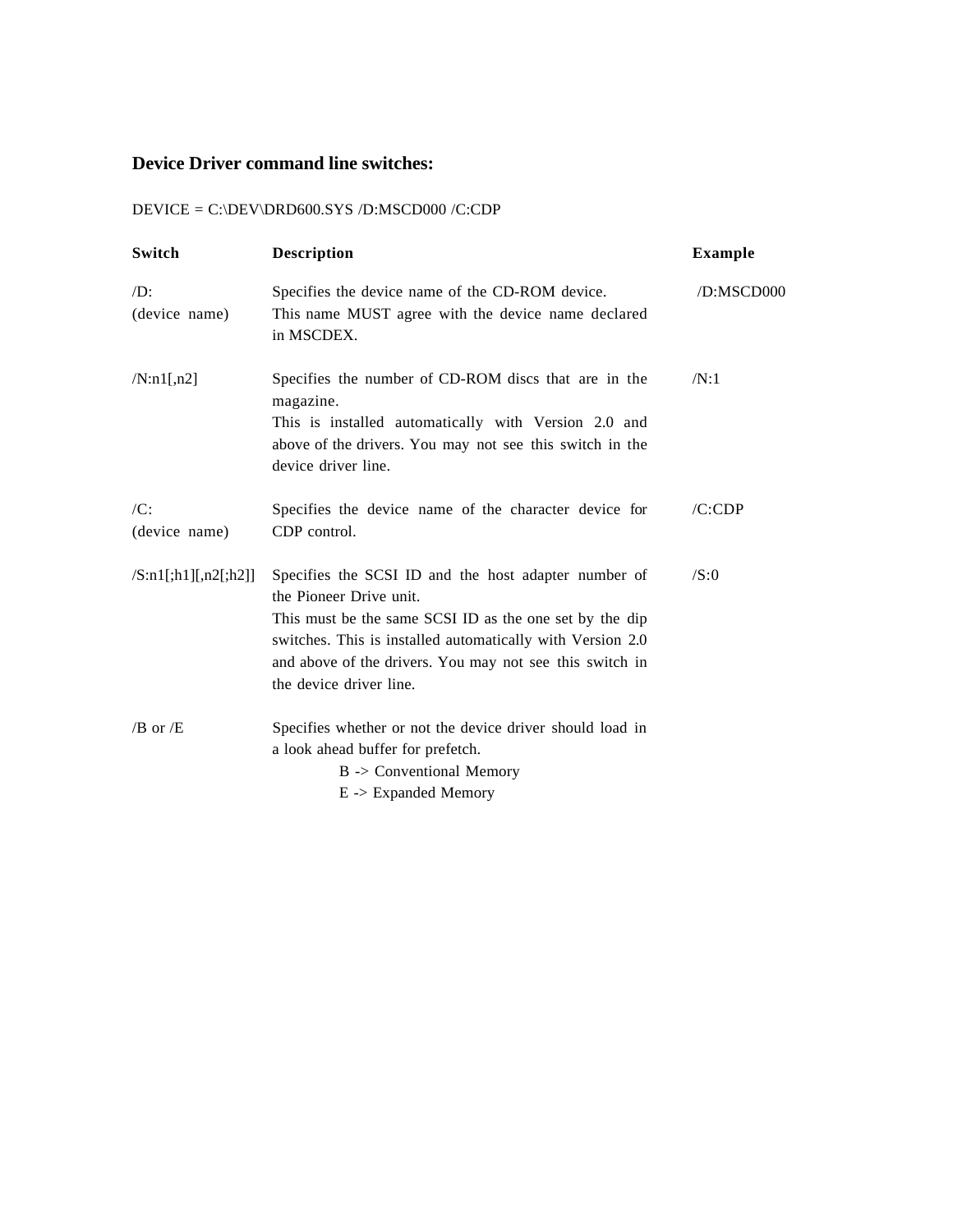## **Device Driver command line switches:**

# DEVICE = C:\DEV\DRD600.SYS /D:MSCD000 /C:CDP

| Switch                           | <b>Description</b>                                                                                                                                                                                                                                                                              | <b>Example</b> |
|----------------------------------|-------------------------------------------------------------------------------------------------------------------------------------------------------------------------------------------------------------------------------------------------------------------------------------------------|----------------|
| $\mathcal{D}$ :<br>(device name) | Specifies the device name of the CD-ROM device.<br>This name MUST agree with the device name declared<br>in MSCDEX.                                                                                                                                                                             | /D:MSCD000     |
| /N: n1[, n2]                     | Specifies the number of CD-ROM discs that are in the<br>magazine.<br>This is installed automatically with Version 2.0 and<br>above of the drivers. You may not see this switch in the<br>device driver line.                                                                                    | /N:1           |
| /C:<br>(device name)             | Specifies the device name of the character device for<br>CDP control.                                                                                                                                                                                                                           | /C:CDP         |
| /S:n1[:,h1],[n2[:,h2]]           | Specifies the SCSI ID and the host adapter number of<br>the Pioneer Drive unit.<br>This must be the same SCSI ID as the one set by the dip<br>switches. This is installed automatically with Version 2.0<br>and above of the drivers. You may not see this switch in<br>the device driver line. | /S:0           |
| $/B$ or $/E$                     | Specifies whether or not the device driver should load in<br>a look ahead buffer for prefetch.<br>$B \rightarrow$ Conventional Memory<br>$E \rightarrow$ Expanded Memory                                                                                                                        |                |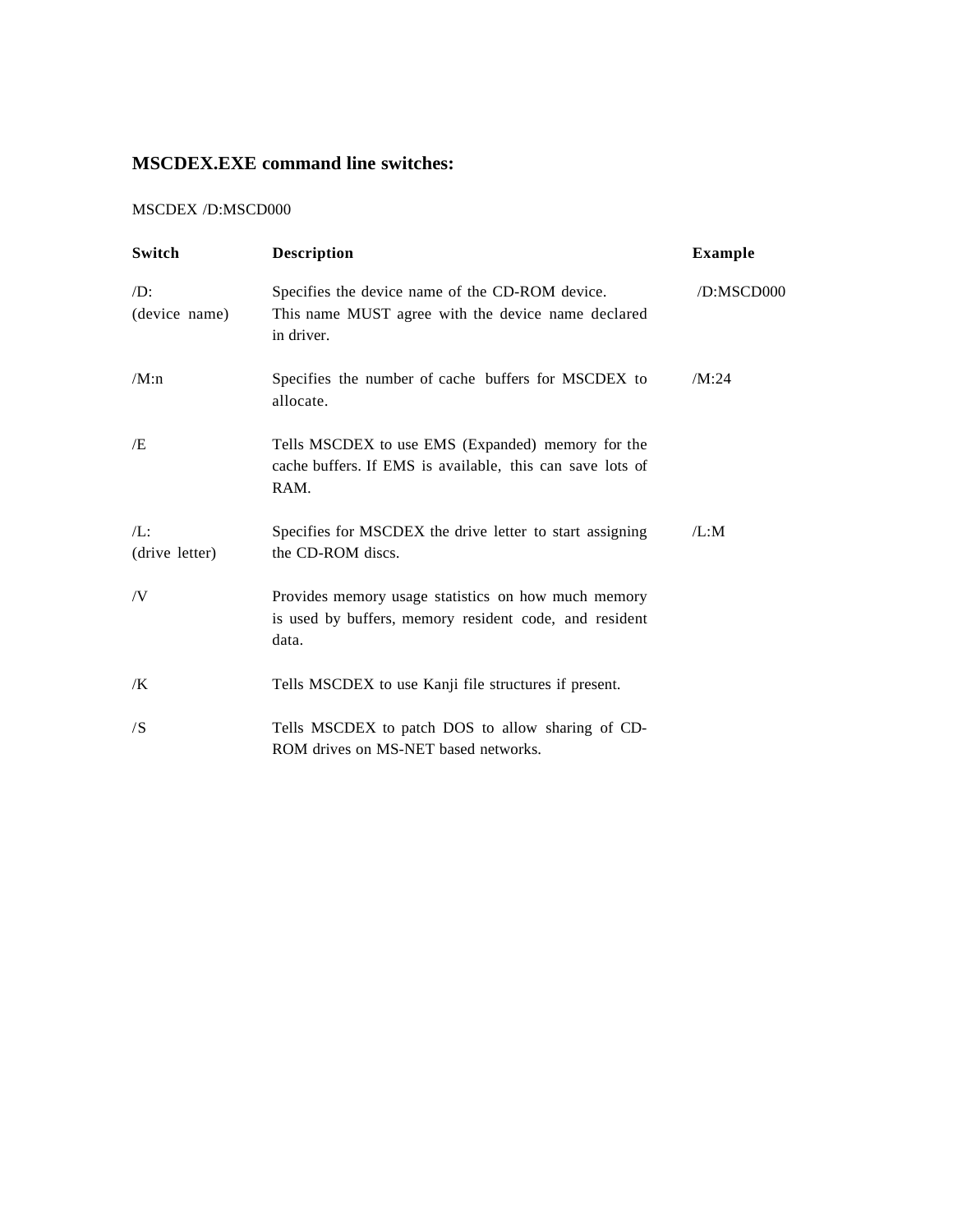# **MSCDEX.EXE command line switches:**

## MSCDEX /D:MSCD000

| Switch                           | <b>Description</b>                                                                                                     | <b>Example</b> |
|----------------------------------|------------------------------------------------------------------------------------------------------------------------|----------------|
| $\mathcal{D}$ :<br>(device name) | Specifies the device name of the CD-ROM device.<br>This name MUST agree with the device name declared<br>in driver.    | /D:MSCD000     |
| /M:n                             | Specifies the number of cache buffers for MSCDEX to<br>allocate.                                                       | /M:24          |
| Æ                                | Tells MSCDEX to use EMS (Expanded) memory for the<br>cache buffers. If EMS is available, this can save lots of<br>RAM. |                |
| $/L$ :<br>(drive letter)         | Specifies for MSCDEX the drive letter to start assigning<br>the CD-ROM discs.                                          | /L:M           |
| /V                               | Provides memory usage statistics on how much memory<br>is used by buffers, memory resident code, and resident<br>data. |                |
| /K                               | Tells MSCDEX to use Kanji file structures if present.                                                                  |                |
| /S                               | Tells MSCDEX to patch DOS to allow sharing of CD-<br>ROM drives on MS-NET based networks.                              |                |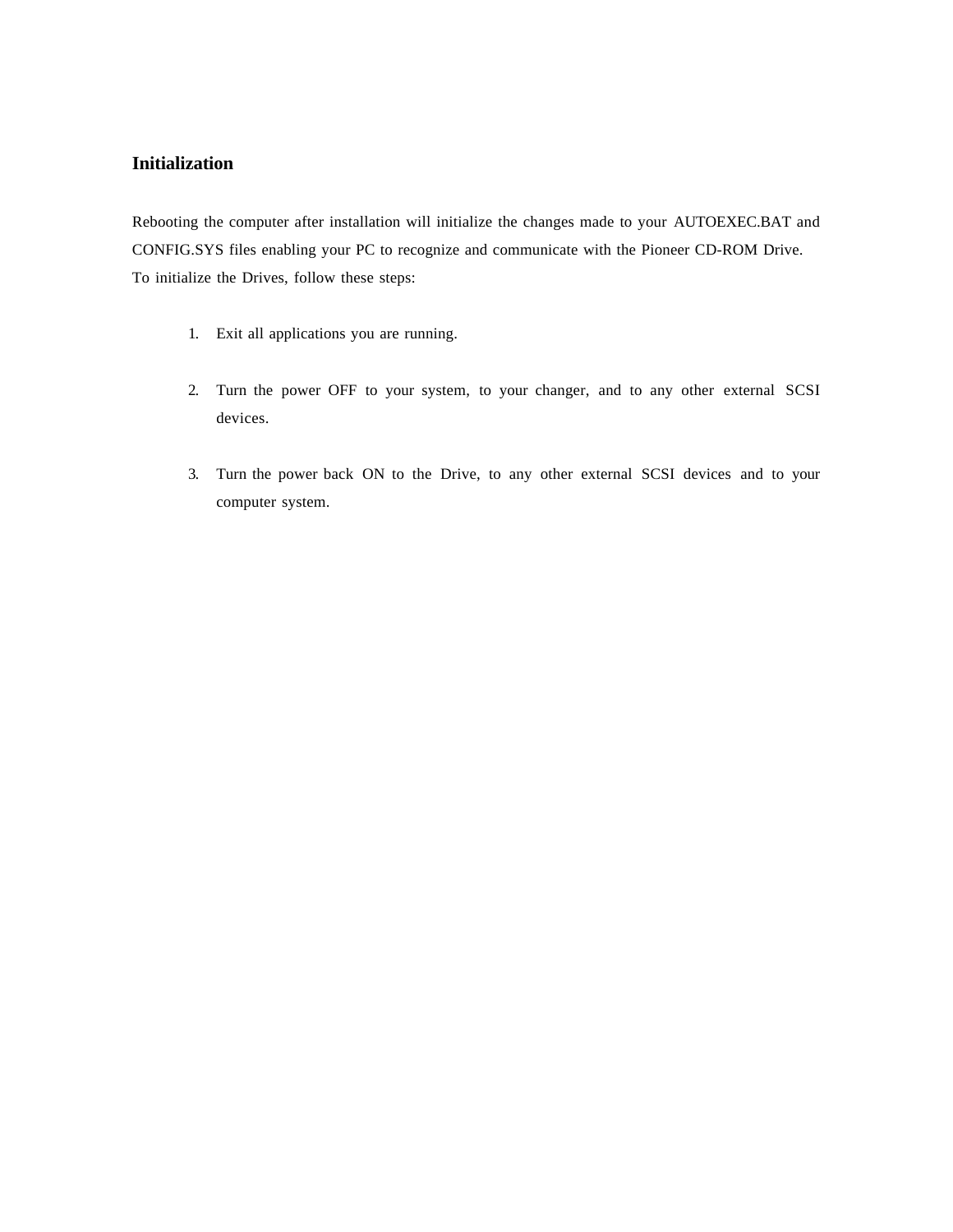## **Initialization**

Rebooting the computer after installation will initialize the changes made to your AUTOEXEC.BAT and CONFIG.SYS files enabling your PC to recognize and communicate with the Pioneer CD-ROM Drive. To initialize the Drives, follow these steps:

- 1. Exit all applications you are running.
- 2. Turn the power OFF to your system, to your changer, and to any other external SCSI devices.
- 3. Turn the power back ON to the Drive, to any other external SCSI devices and to your computer system.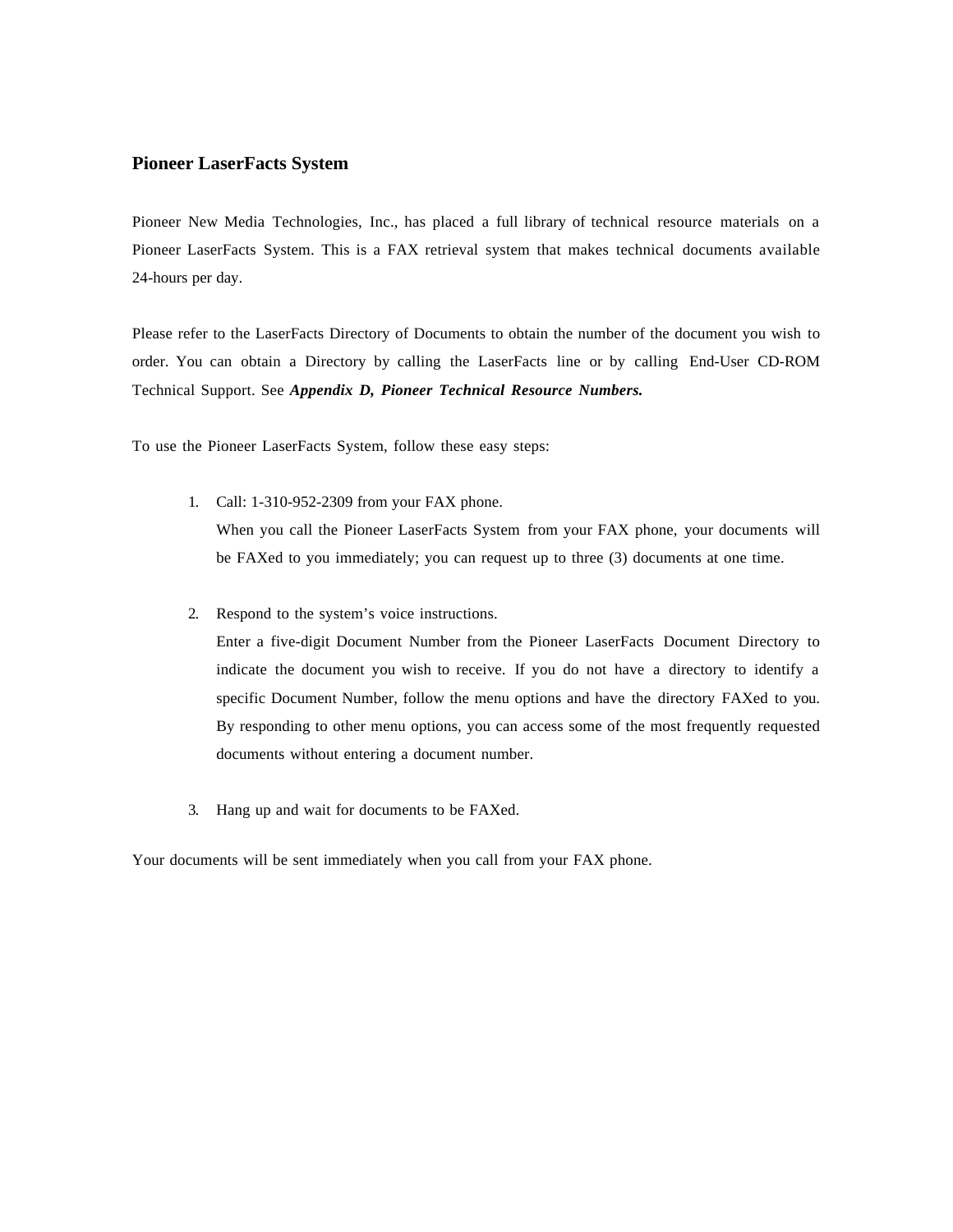## **Pioneer LaserFacts System**

Pioneer New Media Technologies, Inc., has placed a full library of technical resource materials on a Pioneer LaserFacts System. This is a FAX retrieval system that makes technical documents available 24-hours per day.

Please refer to the LaserFacts Directory of Documents to obtain the number of the document you wish to order. You can obtain a Directory by calling the LaserFacts line or by calling End-User CD-ROM Technical Support. See *Appendix D, Pioneer Technical Resource Numbers.*

To use the Pioneer LaserFacts System, follow these easy steps:

- 1. Call: 1-310-952-2309 from your FAX phone. When you call the Pioneer LaserFacts System from your FAX phone, your documents will be FAXed to you immediately; you can request up to three (3) documents at one time.
- 2. Respond to the system's voice instructions.

Enter a five-digit Document Number from the Pioneer LaserFacts Document Directory to indicate the document you wish to receive. If you do not have a directory to identify a specific Document Number, follow the menu options and have the directory FAXed to you. By responding to other menu options, you can access some of the most frequently requested documents without entering a document number.

3. Hang up and wait for documents to be FAXed.

Your documents will be sent immediately when you call from your FAX phone.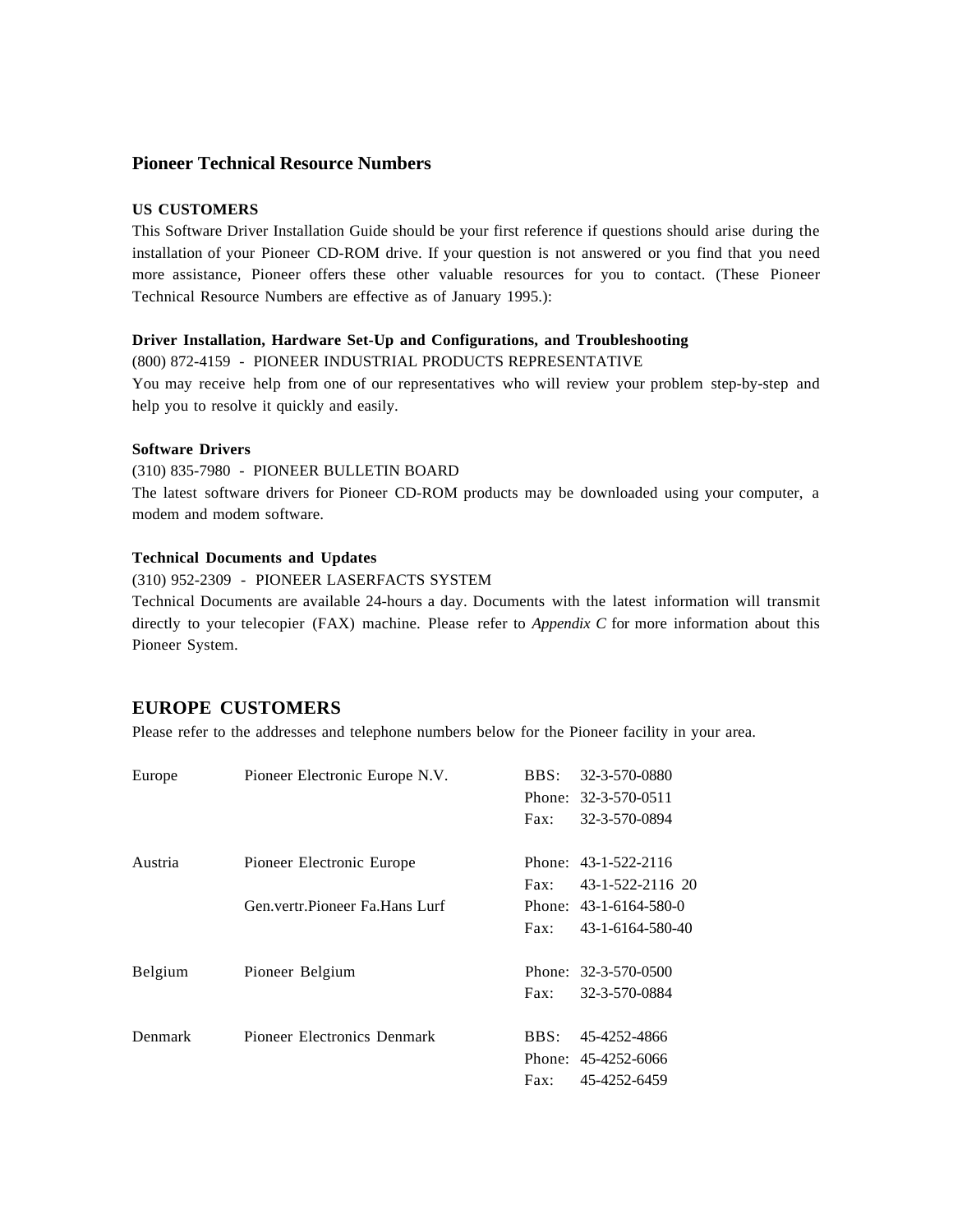## **Pioneer Technical Resource Numbers**

## **US CUSTOMERS**

This Software Driver Installation Guide should be your first reference if questions should arise during the installation of your Pioneer CD-ROM drive. If your question is not answered or you find that you need more assistance, Pioneer offers these other valuable resources for you to contact. (These Pioneer Technical Resource Numbers are effective as of January 1995.):

## **Driver Installation, Hardware Set-Up and Configurations, and Troubleshooting**

(800) 872-4159 - PIONEER INDUSTRIAL PRODUCTS REPRESENTATIVE You may receive help from one of our representatives who will review your problem step-by-step and help you to resolve it quickly and easily.

## **Software Drivers**

(310) 835-7980 - PIONEER BULLETIN BOARD

The latest software drivers for Pioneer CD-ROM products may be downloaded using your computer, a modem and modem software.

## **Technical Documents and Updates**

(310) 952-2309 - PIONEER LASERFACTS SYSTEM

Technical Documents are available 24-hours a day. Documents with the latest information will transmit directly to your telecopier (FAX) machine. Please refer to *Appendix C* for more information about this Pioneer System.

## **EUROPE CUSTOMERS**

Please refer to the addresses and telephone numbers below for the Pioneer facility in your area.

| Europe  | Pioneer Electronic Europe N.V.    | BBS: | 32-3-570-0880          |
|---------|-----------------------------------|------|------------------------|
|         |                                   |      | Phone: 32-3-570-0511   |
|         |                                   | Fax: | 32-3-570-0894          |
| Austria | Pioneer Electronic Europe         |      | Phone: 43-1-522-2116   |
|         |                                   | Fax: | 43-1-522-2116 20       |
|         | Gen. vertr. Pioneer Fa. Hans Lurf |      | Phone: 43-1-6164-580-0 |
|         |                                   | Fax: | 43-1-6164-580-40       |
| Belgium | Pioneer Belgium                   |      | Phone: 32-3-570-0500   |
|         |                                   | Fax: | 32-3-570-0884          |
| Denmark | Pioneer Electronics Denmark       | BBS: | 45-4252-4866           |
|         |                                   |      | Phone: 45-4252-6066    |
|         |                                   | Fax: | 45-4252-6459           |
|         |                                   |      |                        |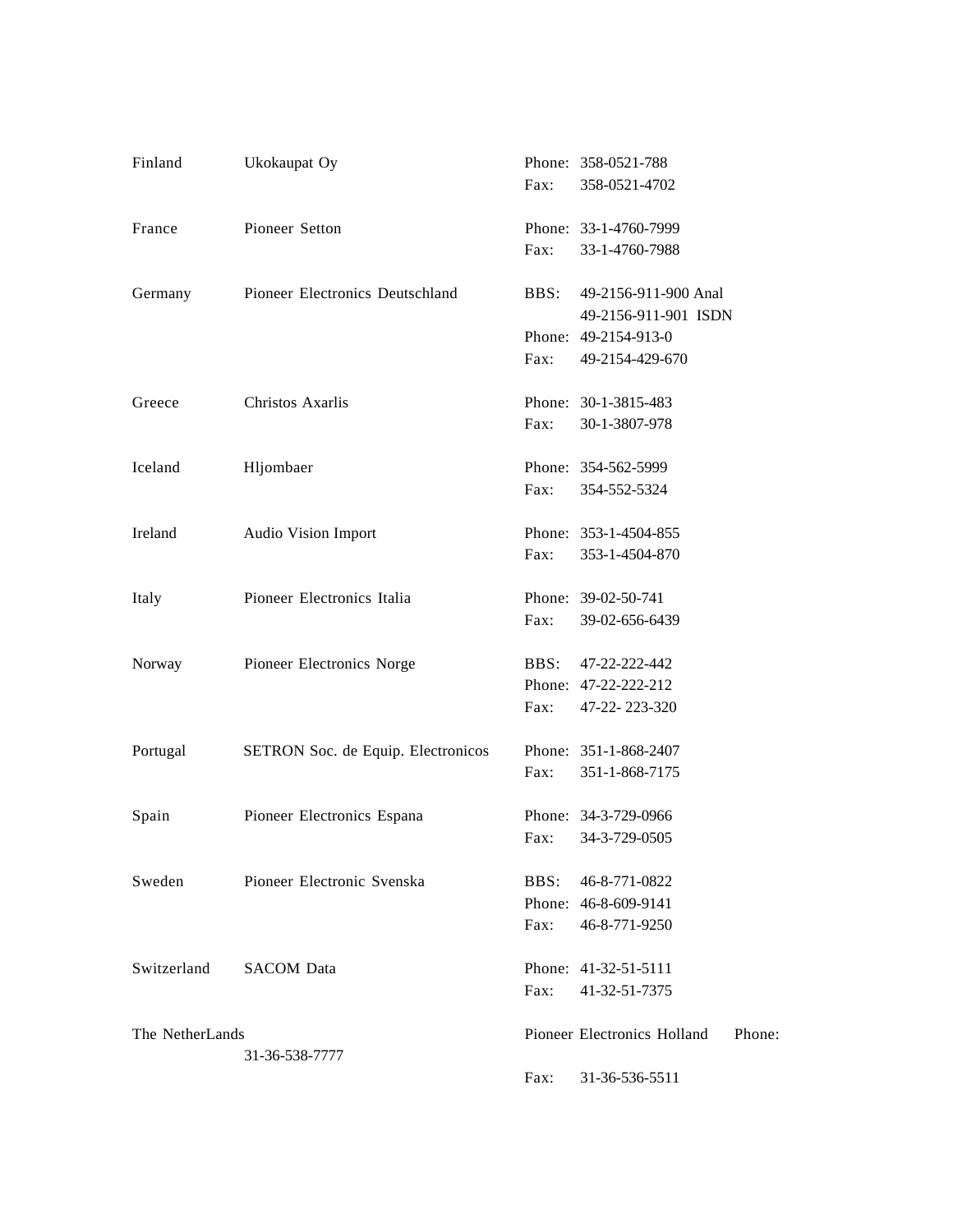| Finland         | Ukokaupat Oy                       |      | Phone: 358-0521-788         |        |
|-----------------|------------------------------------|------|-----------------------------|--------|
|                 |                                    | Fax: | 358-0521-4702               |        |
| France          | Pioneer Setton                     |      | Phone: 33-1-4760-7999       |        |
|                 |                                    | Fax: | 33-1-4760-7988              |        |
| Germany         | Pioneer Electronics Deutschland    | BBS: | 49-2156-911-900 Anal        |        |
|                 |                                    |      | 49-2156-911-901 ISDN        |        |
|                 |                                    |      | Phone: 49-2154-913-0        |        |
|                 |                                    | Fax: | 49-2154-429-670             |        |
| Greece          | Christos Axarlis                   |      | Phone: 30-1-3815-483        |        |
|                 |                                    | Fax: | 30-1-3807-978               |        |
| Iceland         | Hljombaer                          |      | Phone: 354-562-5999         |        |
|                 |                                    | Fax: | 354-552-5324                |        |
| Ireland         | Audio Vision Import                |      | Phone: 353-1-4504-855       |        |
|                 |                                    | Fax: | 353-1-4504-870              |        |
| Italy           | Pioneer Electronics Italia         |      | Phone: 39-02-50-741         |        |
|                 |                                    | Fax: | 39-02-656-6439              |        |
| Norway          | Pioneer Electronics Norge          | BBS: | 47-22-222-442               |        |
|                 |                                    |      | Phone: 47-22-222-212        |        |
|                 |                                    | Fax: | 47-22-223-320               |        |
| Portugal        | SETRON Soc. de Equip. Electronicos |      | Phone: 351-1-868-2407       |        |
|                 |                                    | Fax: | 351-1-868-7175              |        |
| Spain           | Pioneer Electronics Espana         |      | Phone: 34-3-729-0966        |        |
|                 |                                    | Fax: | 34-3-729-0505               |        |
| Sweden          | Pioneer Electronic Svenska         | BBS: | 46-8-771-0822               |        |
|                 |                                    |      | Phone: 46-8-609-9141        |        |
|                 |                                    | Fax: | 46-8-771-9250               |        |
| Switzerland     | <b>SACOM</b> Data                  |      | Phone: 41-32-51-5111        |        |
|                 |                                    | Fax: | 41-32-51-7375               |        |
| The NetherLands |                                    |      | Pioneer Electronics Holland | Phone: |
|                 | 31-36-538-7777                     | Fax: | 31-36-536-5511              |        |
|                 |                                    |      |                             |        |